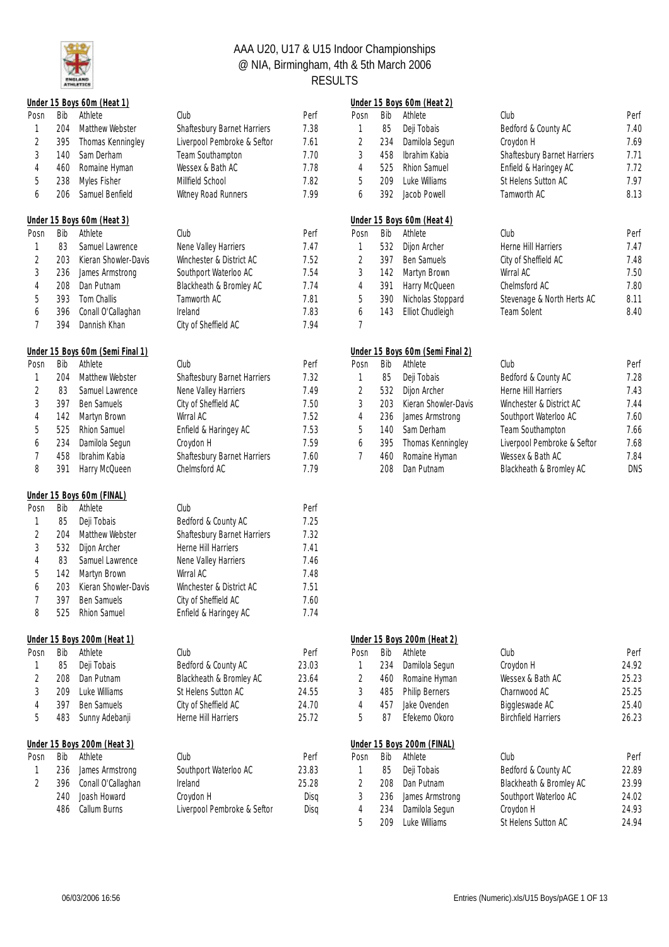

|                |     | Under 15 Boys 60m (Heat 1)       |                             |       |                |     | Under 15 Boys 60m (Heat 2)       |                             |            |
|----------------|-----|----------------------------------|-----------------------------|-------|----------------|-----|----------------------------------|-----------------------------|------------|
| Posn           | Bib | Athlete                          | Club                        | Perf  | Posn           | Bib | Athlete                          | Club                        | Perf       |
| 1              | 204 | Matthew Webster                  | Shaftesbury Barnet Harriers | 7.38  | 1              | 85  | Deji Tobais                      | Bedford & County AC         | 7.40       |
| $\overline{2}$ | 395 | Thomas Kenningley                | Liverpool Pembroke & Seftor | 7.61  | $\overline{c}$ | 234 | Damilola Segun                   | Croydon H                   | 7.69       |
| 3              | 140 | Sam Derham                       | Team Southampton            | 7.70  | 3              | 458 | Ibrahim Kabia                    | Shaftesbury Barnet Harriers | 7.71       |
| 4              | 460 | Romaine Hyman                    | Wessex & Bath AC            | 7.78  | 4              | 525 | Rhion Samuel                     | Enfield & Haringey AC       | 7.72       |
| 5              | 238 | Myles Fisher                     | Millfield School            | 7.82  | 5              | 209 | Luke Williams                    | St Helens Sutton AC         | 7.97       |
| 6              | 206 | Samuel Benfield                  | Witney Road Runners         | 7.99  | 6              | 392 | Jacob Powell                     | Tamworth AC                 | 8.13       |
|                |     | Under 15 Boys 60m (Heat 3)       |                             |       |                |     | Under 15 Boys 60m (Heat 4)       |                             |            |
| Posn           | Bib | Athlete                          | Club                        | Perf  | Posn           | Bib | Athlete                          | Club                        | Perf       |
| 1              | 83  | Samuel Lawrence                  | Nene Valley Harriers        | 7.47  | $\mathbf{1}$   | 532 | Dijon Archer                     | Herne Hill Harriers         | 7.47       |
| 2              | 203 | Kieran Showler-Davis             | Winchester & District AC    | 7.52  | $\sqrt{2}$     | 397 | Ben Samuels                      | City of Sheffield AC        | 7.48       |
| 3              | 236 | James Armstrong                  | Southport Waterloo AC       | 7.54  | $\sqrt{3}$     | 142 | Martyn Brown                     | Wirral AC                   | 7.50       |
| 4              | 208 | Dan Putnam                       | Blackheath & Bromley AC     | 7.74  | $\overline{4}$ | 391 | Harry McQueen                    | Chelmsford AC               | 7.80       |
| 5              | 393 | Tom Challis                      | Tamworth AC                 | 7.81  | 5              | 390 | Nicholas Stoppard                | Stevenage & North Herts AC  | 8.11       |
| 6              | 396 | Conall O'Callaghan               | Ireland                     | 7.83  | 6              | 143 | Elliot Chudleigh                 | <b>Team Solent</b>          | 8.40       |
| 7              | 394 | Dannish Khan                     | City of Sheffield AC        | 7.94  | $\overline{7}$ |     |                                  |                             |            |
|                |     | Under 15 Boys 60m (Semi Final 1) |                             |       |                |     | Under 15 Boys 60m (Semi Final 2) |                             |            |
| Posn           | Bib | Athlete                          | Club                        | Perf  | Posn           | Bib | Athlete                          | Club                        | Perf       |
| 1              | 204 | Matthew Webster                  | Shaftesbury Barnet Harriers | 7.32  | $\mathbf{1}$   | 85  | Deji Tobais                      | Bedford & County AC         | 7.28       |
| 2              | 83  | Samuel Lawrence                  | Nene Valley Harriers        | 7.49  | $\overline{2}$ | 532 | Dijon Archer                     | Herne Hill Harriers         | 7.43       |
| 3              | 397 | Ben Samuels                      | City of Sheffield AC        | 7.50  | 3              | 203 | Kieran Showler-Davis             | Winchester & District AC    | 7.44       |
| 4              | 142 | Martyn Brown                     | Wirral AC                   | 7.52  | 4              | 236 | James Armstrong                  | Southport Waterloo AC       | 7.60       |
| 5              | 525 | Rhion Samuel                     | Enfield & Haringey AC       | 7.53  | 5              | 140 | Sam Derham                       | Team Southampton            | 7.66       |
| 6              | 234 | Damilola Segun                   | Croydon H                   | 7.59  | 6              | 395 | Thomas Kenningley                | Liverpool Pembroke & Seftor | 7.68       |
| 7              | 458 | Ibrahim Kabia                    | Shaftesbury Barnet Harriers | 7.60  | $\overline{7}$ | 460 | Romaine Hyman                    | Wessex & Bath AC            | 7.84       |
| 8              | 391 | Harry McQueen                    | Chelmsford AC               | 7.79  |                | 208 | Dan Putnam                       | Blackheath & Bromley AC     | <b>DNS</b> |
|                |     | Under 15 Boys 60m (FINAL)        |                             |       |                |     |                                  |                             |            |
| Posn           | Bib | Athlete                          | Club                        | Perf  |                |     |                                  |                             |            |
| 1              | 85  | Deji Tobais                      | Bedford & County AC         | 7.25  |                |     |                                  |                             |            |
| 2              | 204 | Matthew Webster                  | Shaftesbury Barnet Harriers | 7.32  |                |     |                                  |                             |            |
| 3              | 532 | Dijon Archer                     | Herne Hill Harriers         | 7.41  |                |     |                                  |                             |            |
| 4              | 83  | Samuel Lawrence                  | Nene Valley Harriers        | 7.46  |                |     |                                  |                             |            |
| 5              | 142 | Martyn Brown                     | Wirral AC                   | 7.48  |                |     |                                  |                             |            |
| 6              | 203 | Kieran Showler-Davis             | Winchester & District AC    | 7.51  |                |     |                                  |                             |            |
|                | 397 | Ben Samuels                      | City of Sheffield AC        | 7.60  |                |     |                                  |                             |            |
| 8              | 525 | Rhion Samuel                     | Enfield & Haringey AC       | 7.74  |                |     |                                  |                             |            |
|                |     | Under 15 Boys 200m (Heat 1)      |                             |       |                |     | Under 15 Boys 200m (Heat 2)      |                             |            |
| Posn           | Bib | Athlete                          | Club                        | Perf  | Posn           | Bib | Athlete                          | Club                        | Perf       |
| 1              | 85  | Deji Tobais                      | Bedford & County AC         | 23.03 | 1              | 234 | Damilola Segun                   | Croydon H                   | 24.92      |
| 2              | 208 | Dan Putnam                       | Blackheath & Bromley AC     | 23.64 | $\sqrt{2}$     | 460 | Romaine Hyman                    | Wessex & Bath AC            | 25.23      |
| 3              | 209 | Luke Williams                    | St Helens Sutton AC         | 24.55 | $\sqrt{3}$     | 485 | <b>Philip Berners</b>            | Charnwood AC                | 25.25      |
| 4              | 397 | Ben Samuels                      | City of Sheffield AC        | 24.70 | $\overline{4}$ | 457 | Jake Ovenden                     | Biggleswade AC              | 25.40      |
| 5              | 483 | Sunny Adebanji                   | Herne Hill Harriers         | 25.72 | 5              | 87  | Efekemo Okoro                    | <b>Birchfield Harriers</b>  | 26.23      |
|                |     | Under 15 Boys 200m (Heat 3)      |                             |       |                |     | Under 15 Boys 200m (FINAL)       |                             |            |
| Posn           | Bib | Athlete                          | Club                        | Perf  | Posn           | Bib | Athlete                          | Club                        | Perf       |
| 1              | 236 | James Armstrong                  | Southport Waterloo AC       | 23.83 | $\mathbf{1}$   | 85  | Deji Tobais                      | Bedford & County AC         | 22.89      |
| 2              | 396 | Conall O'Callaghan               | Ireland                     | 25.28 | $\overline{2}$ | 208 | Dan Putnam                       | Blackheath & Bromley AC     | 23.99      |
|                | 240 | Joash Howard                     | Croydon H                   | Disq  | $\sqrt{3}$     | 236 | James Armstrong                  | Southport Waterloo AC       | 24.02      |
|                | 486 | Callum Burns                     | Liverpool Pembroke & Seftor | Disq  | $\overline{4}$ | 234 | Damilola Segun                   | Croydon H                   | 24.93      |
|                |     |                                  |                             |       |                |     |                                  |                             |            |

|      |     | Under 15 Boys 60m (Heat 2)       |                                    |   |
|------|-----|----------------------------------|------------------------------------|---|
| Posn | Bib | Athlete                          | Club                               | P |
| 1    | 85  | Deji Tobais                      | Bedford & County AC                | 7 |
| 2    | 234 | Damilola Segun                   | Croydon H                          | 7 |
| 3    | 458 | Ibrahim Kabia                    | <b>Shaftesbury Barnet Harriers</b> | 7 |
| 4    |     | 525 Rhion Samuel                 | Enfield & Haringey AC              | 7 |
| 5    |     | 209 Luke Williams                | St Helens Sutton AC                | 7 |
| 6    | 392 | Jacob Powell                     | Tamworth AC                        | 8 |
|      |     |                                  |                                    |   |
|      |     | Under 15 Boys 60m (Heat 4)       |                                    |   |
| Posn | Bib | Athlete                          | Club                               | P |
| 1    | 532 | Dijon Archer                     | Herne Hill Harriers                | 7 |
| 2    | 397 | <b>Ben Samuels</b>               | City of Sheffield AC               | 7 |
| 3    | 142 | Martyn Brown                     | Wirral AC                          | 7 |
| 4    | 391 | Harry McQueen                    | Chelmsford AC                      | 7 |
| 5    | 390 | Nicholas Stoppard                | Stevenage & North Herts AC         | 8 |
| 6    | 143 | Elliot Chudleigh                 | <b>Team Solent</b>                 | 8 |
| 7    |     |                                  |                                    |   |
|      |     | Under 15 Boys 60m (Semi Final 2) |                                    |   |

| Posn          | Bib | Athlete              | Club                        | Perf       |
|---------------|-----|----------------------|-----------------------------|------------|
| 1             | 85  | Deji Tobais          | Bedford & County AC         | 7.28       |
| $\mathcal{L}$ | 532 | Dijon Archer         | Herne Hill Harriers         | 7.43       |
| 3             | 203 | Kieran Showler-Davis | Winchester & District AC    | 7.44       |
| 4             |     | 236 James Armstrong  | Southport Waterloo AC       | 7.60       |
| 5             | 140 | Sam Derham           | Team Southampton            | 7.66       |
| 6             | 395 | Thomas Kenningley    | Liverpool Pembroke & Seftor | 7.68       |
| 7             | 460 | Romaine Hyman        | Wessex & Bath AC            | 7.84       |
|               | 208 | Dan Putnam           | Blackheath & Bromley AC     | <b>DNS</b> |
|               |     |                      |                             |            |

|      | 5 Boys 200m (Heat 1) |                             |       |                |     | Under 15 Boys 200m (Heat 2) |                            |       |
|------|----------------------|-----------------------------|-------|----------------|-----|-----------------------------|----------------------------|-------|
| Bib  | Athlete              | Club                        | Perf  | Posn           | Bib | Athlete                     | Club                       | Perf  |
| 85   | Deji Tobais          | Bedford & County AC         | 23.03 |                | 234 | Damilola Segun              | Croydon H                  | 24.92 |
| 208. | Dan Putnam           | Blackheath & Bromley AC     | 23.64 |                | 460 | Romaine Hyman               | Wessex & Bath AC           | 25.23 |
| 209  | Luke Williams        | St Helens Sutton AC         | 24.55 | 3              | 485 | <b>Philip Berners</b>       | Charnwood AC               | 25.25 |
| 397  | <b>Ben Samuels</b>   | City of Sheffield AC        | 24.70 | 4              | 457 | Jake Ovenden                | Biggleswade AC             | 25.40 |
| 483  | Sunny Adebanji       | Herne Hill Harriers         | 25.72 | 5              | 87  | Ffekemo Okoro               | <b>Birchfield Harriers</b> | 26.23 |
|      | 5 Boys 200m (Heat 3) |                             |       |                |     | Under 15 Boys 200m (FINAL)  |                            |       |
| Bib  | Athlete              | Club                        | Perf  | Posn           | Bib | Athlete                     | Club                       | Perf  |
| 236  | James Armstrong      | Southport Waterloo AC       | 23.83 |                | 85  | Deji Tobais                 | Bedford & County AC        | 22.89 |
| 396  | Conall O'Callaghan   | Ireland                     | 25.28 | $\mathfrak{D}$ | 208 | Dan Putnam                  | Blackheath & Bromley AC    | 23.99 |
| 240  | Joash Howard         | Croydon H                   | Disa  | 3              | 236 | James Armstrong             | Southport Waterloo AC      | 24.02 |
| 486  | Callum Burns         | Liverpool Pembroke & Seftor | Disg  | 4              | 234 | Damilola Segun              | Croydon H                  | 24.93 |
|      |                      |                             |       | 5              | 209 | Luke Williams               | St Helens Sutton AC        | 24.94 |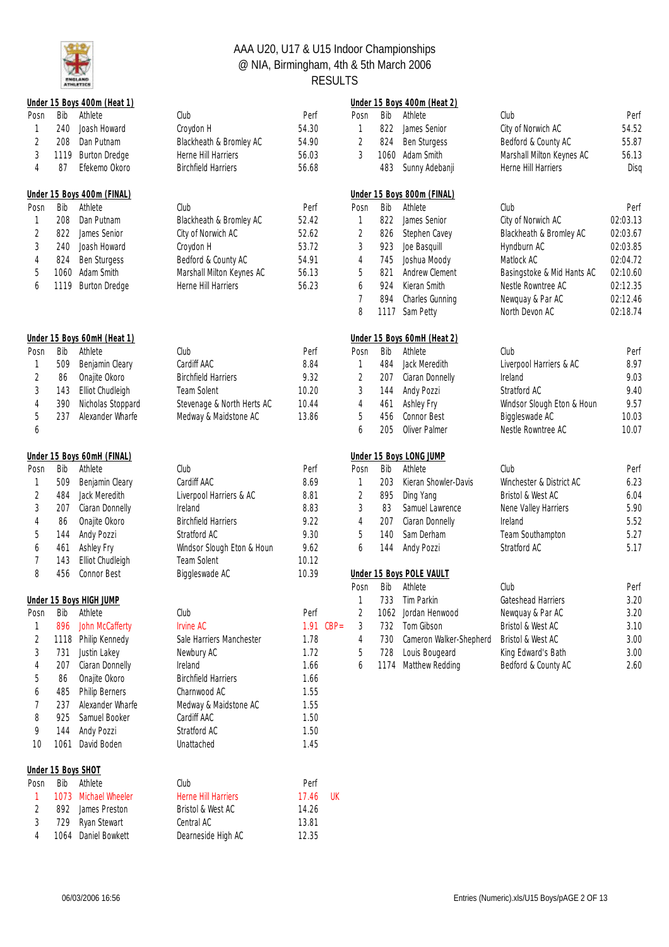

| Posn<br>Perf<br>Posn<br>54.52<br>Joash Howard<br>Croydon H<br>54.30<br>822<br>James Senior<br>City of Norwich AC<br>1<br>240<br>$\mathbf{1}$<br>$\sqrt{2}$<br>55.87<br>2<br>208<br>Dan Putnam<br>Blackheath & Bromley AC<br>54.90<br>824<br><b>Ben Sturgess</b><br>Bedford & County AC<br>$\sqrt{3}$<br>3<br>56.13<br><b>Burton Dredge</b><br>Herne Hill Harriers<br>56.03<br>1060<br>Adam Smith<br>Marshall Milton Keynes AC<br>1119<br>$\overline{4}$<br>87<br>Efekemo Okoro<br><b>Birchfield Harriers</b><br>483<br>Sunny Adebanji<br>Herne Hill Harriers<br>Disq<br>56.68<br>Under 15 Boys 400m (FINAL)<br>Under 15 Boys 800m (FINAL)<br>Bib<br>Bib<br>Athlete<br>Club<br>Perf<br>Athlete<br>Club<br>Perf<br>Posn<br>Posn<br>52.42<br>822<br>02:03.13<br>208<br>Dan Putnam<br>Blackheath & Bromley AC<br>James Senior<br>City of Norwich AC<br>$\mathbf{1}$<br>1<br>$\sqrt{2}$<br>52.62<br>$\overline{2}$<br>02:03.67<br>822<br>James Senior<br>City of Norwich AC<br>826<br>Blackheath & Bromley AC<br>Stephen Cavey<br>$\sqrt{3}$<br>53.72<br>$\sqrt{3}$<br>923<br>240<br>Joash Howard<br>Croydon H<br>Joe Basquill<br>02:03.85<br>Hyndburn AC<br>$\overline{4}$<br>Ben Sturgess<br>Bedford & County AC<br>54.91<br>$\overline{4}$<br>745<br>Joshua Moody<br>Matlock AC<br>02:04.72<br>824<br>5<br>5<br>1060<br>Adam Smith<br>Marshall Milton Keynes AC<br>56.13<br>821<br>Andrew Clement<br>Basingstoke & Mid Hants AC<br>02:10.60<br>56.23<br>02:12.35<br><b>Burton Dredge</b><br>Herne Hill Harriers<br>924<br>Kieran Smith<br>Nestle Rowntree AC<br>6<br>1119<br>6<br>$\overline{7}$<br>02:12.46<br>894<br>Charles Gunning<br>Newquay & Par AC<br>8<br>02:18.74<br>Sam Petty<br>North Devon AC<br>1117<br>Under 15 Boys 60mH (Heat 2)<br>Under 15 Boys 60mH (Heat 1)<br>Bib<br>Athlete<br>Perf<br>Bib<br>Athlete<br>Club<br>Perf<br>Club<br>Posn<br>Posn<br>8.97<br>Cardiff AAC<br>8.84<br>484<br>Jack Meredith<br>Liverpool Harriers & AC<br>1<br>509<br>Benjamin Cleary<br>$\mathbf{1}$<br>$\sqrt{2}$<br>9.03<br>Onajite Okoro<br><b>Birchfield Harriers</b><br>9.32<br>2<br>Ciaran Donnelly<br>86<br>207<br>Ireland<br>$\sqrt{3}$<br>9.40<br>Elliot Chudleigh<br><b>Team Solent</b><br>10.20<br>3<br>143<br>144<br>Andy Pozzi<br>Stratford AC<br>9.57<br>$\overline{4}$<br>390<br>Nicholas Stoppard<br>Stevenage & North Herts AC<br>10.44<br>Ashley Fry<br>Windsor Slough Eton & Houn<br>$\overline{4}$<br>461<br>$\mathbf 5$<br>13.86<br>5<br>10.03<br>237<br>Alexander Wharfe<br>Medway & Maidstone AC<br>456<br><b>Connor Best</b><br>Biggleswade AC<br>Oliver Palmer<br>10.07<br>6<br>205<br>Nestle Rowntree AC<br>6<br>Under 15 Boys LONG JUMP<br>Under 15 Boys 60mH (FINAL)<br>Athlete<br>Club<br>Bib<br>Athlete<br>Club<br>Perf<br>Bib<br>Perf<br>Posn<br>Posn<br>Cardiff AAC<br>6.23<br>509<br>8.69<br>203<br>Kieran Showler-Davis<br>Winchester & District AC<br>1<br>Benjamin Cleary<br>$\mathbf{1}$<br>$\sqrt{2}$<br>$\sqrt{2}$<br>6.04<br>8.81<br>895<br>Bristol & West AC<br>484<br>Jack Meredith<br>Liverpool Harriers & AC<br>Ding Yang<br>$\sqrt{3}$<br>$\sqrt{3}$<br>83<br>5.90<br>8.83<br>Samuel Lawrence<br>207<br>Ciaran Donnelly<br>Ireland<br>Nene Valley Harriers<br>5.52<br>86<br><b>Birchfield Harriers</b><br>9.22<br>4<br>207<br>Ciaran Donnelly<br>Ireland<br>4<br>Onajite Okoro<br>5<br>9.30<br>5<br>Sam Derham<br>5.27<br>Andy Pozzi<br>Stratford AC<br>140<br>Team Southampton<br>144<br>5.17<br>Windsor Slough Eton & Houn<br>9.62<br>6<br>Andy Pozzi<br>Stratford AC<br>6<br>461<br>Ashley Fry<br>144<br>7<br>Elliot Chudleigh<br>Team Solent<br>10.12<br>143<br>8<br>Connor Best<br>10.39<br>456<br>Biggleswade AC<br><b>Under 15 Boys POLE VAULT</b><br>Bib<br>Athlete<br>Club<br>Perf<br>Posn<br>733 Tim Parkin<br>3.20<br>Under 15 Boys HIGH JUMP<br>Gateshead Harriers<br>1<br>Posn<br>Bib<br>Club<br>Perf<br>2<br>Newquay & Par AC<br>3.20<br>Athlete<br>Jordan Henwood<br>1062<br>Tom Gibson<br>3.10<br>896<br>John McCafferty<br><b>Irvine AC</b><br>1.91<br>$CBP =$<br>732<br>Bristol & West AC<br>3<br>1<br>$\overline{c}$<br>1.78<br>730<br>Cameron Walker-Shepherd<br>3.00<br>1118<br>Philip Kennedy<br>Sale Harriers Manchester<br>Bristol & West AC<br>4<br>3.00<br>3<br>Justin Lakey<br>1.72<br>728<br>Louis Bougeard<br>731<br>Newbury AC<br>5<br>King Edward's Bath<br>2.60<br>Ciaran Donnelly<br>Ireland<br>1.66<br>1174 Matthew Redding<br>Bedford & County AC<br>207<br>6<br>4<br>5<br>Onajite Okoro<br><b>Birchfield Harriers</b><br>1.66<br>86<br><b>Philip Berners</b><br>Charnwood AC<br>1.55<br>485<br>6<br>7<br>1.55<br>237<br>Alexander Wharfe<br>Medway & Maidstone AC<br>8<br>Cardiff AAC<br>1.50<br>925<br>Samuel Booker<br>9<br>Andy Pozzi<br>Stratford AC<br>1.50<br>144<br>10<br>David Boden<br>1.45<br>1061<br>Unattached<br>Under 15 Boys SHOT<br>Bib<br>Athlete<br>Club<br>Perf<br>Posn<br>Michael Wheeler<br>Herne Hill Harriers<br>17.46<br>UK<br>1073<br>1<br>$\overline{2}$<br>14.26<br>892<br>James Preston<br>Bristol & West AC<br>3<br>Ryan Stewart<br>Central AC<br>13.81<br>729<br>Daniel Bowkett<br>Dearneside High AC<br>12.35<br>4<br>1064 |     | Under 15 Boys 400m (Heat 1) |      |  |     | Under 15 Boys 400m (Heat 2) |      |      |
|-------------------------------------------------------------------------------------------------------------------------------------------------------------------------------------------------------------------------------------------------------------------------------------------------------------------------------------------------------------------------------------------------------------------------------------------------------------------------------------------------------------------------------------------------------------------------------------------------------------------------------------------------------------------------------------------------------------------------------------------------------------------------------------------------------------------------------------------------------------------------------------------------------------------------------------------------------------------------------------------------------------------------------------------------------------------------------------------------------------------------------------------------------------------------------------------------------------------------------------------------------------------------------------------------------------------------------------------------------------------------------------------------------------------------------------------------------------------------------------------------------------------------------------------------------------------------------------------------------------------------------------------------------------------------------------------------------------------------------------------------------------------------------------------------------------------------------------------------------------------------------------------------------------------------------------------------------------------------------------------------------------------------------------------------------------------------------------------------------------------------------------------------------------------------------------------------------------------------------------------------------------------------------------------------------------------------------------------------------------------------------------------------------------------------------------------------------------------------------------------------------------------------------------------------------------------------------------------------------------------------------------------------------------------------------------------------------------------------------------------------------------------------------------------------------------------------------------------------------------------------------------------------------------------------------------------------------------------------------------------------------------------------------------------------------------------------------------------------------------------------------------------------------------------------------------------------------------------------------------------------------------------------------------------------------------------------------------------------------------------------------------------------------------------------------------------------------------------------------------------------------------------------------------------------------------------------------------------------------------------------------------------------------------------------------------------------------------------------------------------------------------------------------------------------------------------------------------------------------------------------------------------------------------------------------------------------------------------------------------------------------------------------------------------------------------------------------------------------------------------------------------------------------------------------------------------------------------------------------------------------------------------------------------------------------------------------------------------------------------------------------------------------------------------------------------------------------------------------------------------------------------------------------------------------------------------------------------------------------------------------------------------------------------------------------------------------------------------------------------------------------------------------------------------------------------------------------------------------------------------------------------------------------------------------------------------------------------------------------------------------------------------------------------------------------------------------------------------------------------------------------------------|-----|-----------------------------|------|--|-----|-----------------------------|------|------|
|                                                                                                                                                                                                                                                                                                                                                                                                                                                                                                                                                                                                                                                                                                                                                                                                                                                                                                                                                                                                                                                                                                                                                                                                                                                                                                                                                                                                                                                                                                                                                                                                                                                                                                                                                                                                                                                                                                                                                                                                                                                                                                                                                                                                                                                                                                                                                                                                                                                                                                                                                                                                                                                                                                                                                                                                                                                                                                                                                                                                                                                                                                                                                                                                                                                                                                                                                                                                                                                                                                                                                                                                                                                                                                                                                                                                                                                                                                                                                                                                                                                                                                                                                                                                                                                                                                                                                                                                                                                                                                                                                                                                                                                                                                                                                                                                                                                                                                                                                                                                                                                                                                                                           | Bib | Athlete                     | Club |  | Bib | Athlete                     | Club | Perf |
|                                                                                                                                                                                                                                                                                                                                                                                                                                                                                                                                                                                                                                                                                                                                                                                                                                                                                                                                                                                                                                                                                                                                                                                                                                                                                                                                                                                                                                                                                                                                                                                                                                                                                                                                                                                                                                                                                                                                                                                                                                                                                                                                                                                                                                                                                                                                                                                                                                                                                                                                                                                                                                                                                                                                                                                                                                                                                                                                                                                                                                                                                                                                                                                                                                                                                                                                                                                                                                                                                                                                                                                                                                                                                                                                                                                                                                                                                                                                                                                                                                                                                                                                                                                                                                                                                                                                                                                                                                                                                                                                                                                                                                                                                                                                                                                                                                                                                                                                                                                                                                                                                                                                           |     |                             |      |  |     |                             |      |      |
|                                                                                                                                                                                                                                                                                                                                                                                                                                                                                                                                                                                                                                                                                                                                                                                                                                                                                                                                                                                                                                                                                                                                                                                                                                                                                                                                                                                                                                                                                                                                                                                                                                                                                                                                                                                                                                                                                                                                                                                                                                                                                                                                                                                                                                                                                                                                                                                                                                                                                                                                                                                                                                                                                                                                                                                                                                                                                                                                                                                                                                                                                                                                                                                                                                                                                                                                                                                                                                                                                                                                                                                                                                                                                                                                                                                                                                                                                                                                                                                                                                                                                                                                                                                                                                                                                                                                                                                                                                                                                                                                                                                                                                                                                                                                                                                                                                                                                                                                                                                                                                                                                                                                           |     |                             |      |  |     |                             |      |      |
|                                                                                                                                                                                                                                                                                                                                                                                                                                                                                                                                                                                                                                                                                                                                                                                                                                                                                                                                                                                                                                                                                                                                                                                                                                                                                                                                                                                                                                                                                                                                                                                                                                                                                                                                                                                                                                                                                                                                                                                                                                                                                                                                                                                                                                                                                                                                                                                                                                                                                                                                                                                                                                                                                                                                                                                                                                                                                                                                                                                                                                                                                                                                                                                                                                                                                                                                                                                                                                                                                                                                                                                                                                                                                                                                                                                                                                                                                                                                                                                                                                                                                                                                                                                                                                                                                                                                                                                                                                                                                                                                                                                                                                                                                                                                                                                                                                                                                                                                                                                                                                                                                                                                           |     |                             |      |  |     |                             |      |      |
|                                                                                                                                                                                                                                                                                                                                                                                                                                                                                                                                                                                                                                                                                                                                                                                                                                                                                                                                                                                                                                                                                                                                                                                                                                                                                                                                                                                                                                                                                                                                                                                                                                                                                                                                                                                                                                                                                                                                                                                                                                                                                                                                                                                                                                                                                                                                                                                                                                                                                                                                                                                                                                                                                                                                                                                                                                                                                                                                                                                                                                                                                                                                                                                                                                                                                                                                                                                                                                                                                                                                                                                                                                                                                                                                                                                                                                                                                                                                                                                                                                                                                                                                                                                                                                                                                                                                                                                                                                                                                                                                                                                                                                                                                                                                                                                                                                                                                                                                                                                                                                                                                                                                           |     |                             |      |  |     |                             |      |      |
|                                                                                                                                                                                                                                                                                                                                                                                                                                                                                                                                                                                                                                                                                                                                                                                                                                                                                                                                                                                                                                                                                                                                                                                                                                                                                                                                                                                                                                                                                                                                                                                                                                                                                                                                                                                                                                                                                                                                                                                                                                                                                                                                                                                                                                                                                                                                                                                                                                                                                                                                                                                                                                                                                                                                                                                                                                                                                                                                                                                                                                                                                                                                                                                                                                                                                                                                                                                                                                                                                                                                                                                                                                                                                                                                                                                                                                                                                                                                                                                                                                                                                                                                                                                                                                                                                                                                                                                                                                                                                                                                                                                                                                                                                                                                                                                                                                                                                                                                                                                                                                                                                                                                           |     |                             |      |  |     |                             |      |      |
|                                                                                                                                                                                                                                                                                                                                                                                                                                                                                                                                                                                                                                                                                                                                                                                                                                                                                                                                                                                                                                                                                                                                                                                                                                                                                                                                                                                                                                                                                                                                                                                                                                                                                                                                                                                                                                                                                                                                                                                                                                                                                                                                                                                                                                                                                                                                                                                                                                                                                                                                                                                                                                                                                                                                                                                                                                                                                                                                                                                                                                                                                                                                                                                                                                                                                                                                                                                                                                                                                                                                                                                                                                                                                                                                                                                                                                                                                                                                                                                                                                                                                                                                                                                                                                                                                                                                                                                                                                                                                                                                                                                                                                                                                                                                                                                                                                                                                                                                                                                                                                                                                                                                           |     |                             |      |  |     |                             |      |      |
|                                                                                                                                                                                                                                                                                                                                                                                                                                                                                                                                                                                                                                                                                                                                                                                                                                                                                                                                                                                                                                                                                                                                                                                                                                                                                                                                                                                                                                                                                                                                                                                                                                                                                                                                                                                                                                                                                                                                                                                                                                                                                                                                                                                                                                                                                                                                                                                                                                                                                                                                                                                                                                                                                                                                                                                                                                                                                                                                                                                                                                                                                                                                                                                                                                                                                                                                                                                                                                                                                                                                                                                                                                                                                                                                                                                                                                                                                                                                                                                                                                                                                                                                                                                                                                                                                                                                                                                                                                                                                                                                                                                                                                                                                                                                                                                                                                                                                                                                                                                                                                                                                                                                           |     |                             |      |  |     |                             |      |      |
|                                                                                                                                                                                                                                                                                                                                                                                                                                                                                                                                                                                                                                                                                                                                                                                                                                                                                                                                                                                                                                                                                                                                                                                                                                                                                                                                                                                                                                                                                                                                                                                                                                                                                                                                                                                                                                                                                                                                                                                                                                                                                                                                                                                                                                                                                                                                                                                                                                                                                                                                                                                                                                                                                                                                                                                                                                                                                                                                                                                                                                                                                                                                                                                                                                                                                                                                                                                                                                                                                                                                                                                                                                                                                                                                                                                                                                                                                                                                                                                                                                                                                                                                                                                                                                                                                                                                                                                                                                                                                                                                                                                                                                                                                                                                                                                                                                                                                                                                                                                                                                                                                                                                           |     |                             |      |  |     |                             |      |      |
|                                                                                                                                                                                                                                                                                                                                                                                                                                                                                                                                                                                                                                                                                                                                                                                                                                                                                                                                                                                                                                                                                                                                                                                                                                                                                                                                                                                                                                                                                                                                                                                                                                                                                                                                                                                                                                                                                                                                                                                                                                                                                                                                                                                                                                                                                                                                                                                                                                                                                                                                                                                                                                                                                                                                                                                                                                                                                                                                                                                                                                                                                                                                                                                                                                                                                                                                                                                                                                                                                                                                                                                                                                                                                                                                                                                                                                                                                                                                                                                                                                                                                                                                                                                                                                                                                                                                                                                                                                                                                                                                                                                                                                                                                                                                                                                                                                                                                                                                                                                                                                                                                                                                           |     |                             |      |  |     |                             |      |      |
|                                                                                                                                                                                                                                                                                                                                                                                                                                                                                                                                                                                                                                                                                                                                                                                                                                                                                                                                                                                                                                                                                                                                                                                                                                                                                                                                                                                                                                                                                                                                                                                                                                                                                                                                                                                                                                                                                                                                                                                                                                                                                                                                                                                                                                                                                                                                                                                                                                                                                                                                                                                                                                                                                                                                                                                                                                                                                                                                                                                                                                                                                                                                                                                                                                                                                                                                                                                                                                                                                                                                                                                                                                                                                                                                                                                                                                                                                                                                                                                                                                                                                                                                                                                                                                                                                                                                                                                                                                                                                                                                                                                                                                                                                                                                                                                                                                                                                                                                                                                                                                                                                                                                           |     |                             |      |  |     |                             |      |      |
|                                                                                                                                                                                                                                                                                                                                                                                                                                                                                                                                                                                                                                                                                                                                                                                                                                                                                                                                                                                                                                                                                                                                                                                                                                                                                                                                                                                                                                                                                                                                                                                                                                                                                                                                                                                                                                                                                                                                                                                                                                                                                                                                                                                                                                                                                                                                                                                                                                                                                                                                                                                                                                                                                                                                                                                                                                                                                                                                                                                                                                                                                                                                                                                                                                                                                                                                                                                                                                                                                                                                                                                                                                                                                                                                                                                                                                                                                                                                                                                                                                                                                                                                                                                                                                                                                                                                                                                                                                                                                                                                                                                                                                                                                                                                                                                                                                                                                                                                                                                                                                                                                                                                           |     |                             |      |  |     |                             |      |      |
|                                                                                                                                                                                                                                                                                                                                                                                                                                                                                                                                                                                                                                                                                                                                                                                                                                                                                                                                                                                                                                                                                                                                                                                                                                                                                                                                                                                                                                                                                                                                                                                                                                                                                                                                                                                                                                                                                                                                                                                                                                                                                                                                                                                                                                                                                                                                                                                                                                                                                                                                                                                                                                                                                                                                                                                                                                                                                                                                                                                                                                                                                                                                                                                                                                                                                                                                                                                                                                                                                                                                                                                                                                                                                                                                                                                                                                                                                                                                                                                                                                                                                                                                                                                                                                                                                                                                                                                                                                                                                                                                                                                                                                                                                                                                                                                                                                                                                                                                                                                                                                                                                                                                           |     |                             |      |  |     |                             |      |      |
|                                                                                                                                                                                                                                                                                                                                                                                                                                                                                                                                                                                                                                                                                                                                                                                                                                                                                                                                                                                                                                                                                                                                                                                                                                                                                                                                                                                                                                                                                                                                                                                                                                                                                                                                                                                                                                                                                                                                                                                                                                                                                                                                                                                                                                                                                                                                                                                                                                                                                                                                                                                                                                                                                                                                                                                                                                                                                                                                                                                                                                                                                                                                                                                                                                                                                                                                                                                                                                                                                                                                                                                                                                                                                                                                                                                                                                                                                                                                                                                                                                                                                                                                                                                                                                                                                                                                                                                                                                                                                                                                                                                                                                                                                                                                                                                                                                                                                                                                                                                                                                                                                                                                           |     |                             |      |  |     |                             |      |      |
|                                                                                                                                                                                                                                                                                                                                                                                                                                                                                                                                                                                                                                                                                                                                                                                                                                                                                                                                                                                                                                                                                                                                                                                                                                                                                                                                                                                                                                                                                                                                                                                                                                                                                                                                                                                                                                                                                                                                                                                                                                                                                                                                                                                                                                                                                                                                                                                                                                                                                                                                                                                                                                                                                                                                                                                                                                                                                                                                                                                                                                                                                                                                                                                                                                                                                                                                                                                                                                                                                                                                                                                                                                                                                                                                                                                                                                                                                                                                                                                                                                                                                                                                                                                                                                                                                                                                                                                                                                                                                                                                                                                                                                                                                                                                                                                                                                                                                                                                                                                                                                                                                                                                           |     |                             |      |  |     |                             |      |      |
|                                                                                                                                                                                                                                                                                                                                                                                                                                                                                                                                                                                                                                                                                                                                                                                                                                                                                                                                                                                                                                                                                                                                                                                                                                                                                                                                                                                                                                                                                                                                                                                                                                                                                                                                                                                                                                                                                                                                                                                                                                                                                                                                                                                                                                                                                                                                                                                                                                                                                                                                                                                                                                                                                                                                                                                                                                                                                                                                                                                                                                                                                                                                                                                                                                                                                                                                                                                                                                                                                                                                                                                                                                                                                                                                                                                                                                                                                                                                                                                                                                                                                                                                                                                                                                                                                                                                                                                                                                                                                                                                                                                                                                                                                                                                                                                                                                                                                                                                                                                                                                                                                                                                           |     |                             |      |  |     |                             |      |      |
|                                                                                                                                                                                                                                                                                                                                                                                                                                                                                                                                                                                                                                                                                                                                                                                                                                                                                                                                                                                                                                                                                                                                                                                                                                                                                                                                                                                                                                                                                                                                                                                                                                                                                                                                                                                                                                                                                                                                                                                                                                                                                                                                                                                                                                                                                                                                                                                                                                                                                                                                                                                                                                                                                                                                                                                                                                                                                                                                                                                                                                                                                                                                                                                                                                                                                                                                                                                                                                                                                                                                                                                                                                                                                                                                                                                                                                                                                                                                                                                                                                                                                                                                                                                                                                                                                                                                                                                                                                                                                                                                                                                                                                                                                                                                                                                                                                                                                                                                                                                                                                                                                                                                           |     |                             |      |  |     |                             |      |      |
|                                                                                                                                                                                                                                                                                                                                                                                                                                                                                                                                                                                                                                                                                                                                                                                                                                                                                                                                                                                                                                                                                                                                                                                                                                                                                                                                                                                                                                                                                                                                                                                                                                                                                                                                                                                                                                                                                                                                                                                                                                                                                                                                                                                                                                                                                                                                                                                                                                                                                                                                                                                                                                                                                                                                                                                                                                                                                                                                                                                                                                                                                                                                                                                                                                                                                                                                                                                                                                                                                                                                                                                                                                                                                                                                                                                                                                                                                                                                                                                                                                                                                                                                                                                                                                                                                                                                                                                                                                                                                                                                                                                                                                                                                                                                                                                                                                                                                                                                                                                                                                                                                                                                           |     |                             |      |  |     |                             |      |      |
|                                                                                                                                                                                                                                                                                                                                                                                                                                                                                                                                                                                                                                                                                                                                                                                                                                                                                                                                                                                                                                                                                                                                                                                                                                                                                                                                                                                                                                                                                                                                                                                                                                                                                                                                                                                                                                                                                                                                                                                                                                                                                                                                                                                                                                                                                                                                                                                                                                                                                                                                                                                                                                                                                                                                                                                                                                                                                                                                                                                                                                                                                                                                                                                                                                                                                                                                                                                                                                                                                                                                                                                                                                                                                                                                                                                                                                                                                                                                                                                                                                                                                                                                                                                                                                                                                                                                                                                                                                                                                                                                                                                                                                                                                                                                                                                                                                                                                                                                                                                                                                                                                                                                           |     |                             |      |  |     |                             |      |      |
|                                                                                                                                                                                                                                                                                                                                                                                                                                                                                                                                                                                                                                                                                                                                                                                                                                                                                                                                                                                                                                                                                                                                                                                                                                                                                                                                                                                                                                                                                                                                                                                                                                                                                                                                                                                                                                                                                                                                                                                                                                                                                                                                                                                                                                                                                                                                                                                                                                                                                                                                                                                                                                                                                                                                                                                                                                                                                                                                                                                                                                                                                                                                                                                                                                                                                                                                                                                                                                                                                                                                                                                                                                                                                                                                                                                                                                                                                                                                                                                                                                                                                                                                                                                                                                                                                                                                                                                                                                                                                                                                                                                                                                                                                                                                                                                                                                                                                                                                                                                                                                                                                                                                           |     |                             |      |  |     |                             |      |      |
|                                                                                                                                                                                                                                                                                                                                                                                                                                                                                                                                                                                                                                                                                                                                                                                                                                                                                                                                                                                                                                                                                                                                                                                                                                                                                                                                                                                                                                                                                                                                                                                                                                                                                                                                                                                                                                                                                                                                                                                                                                                                                                                                                                                                                                                                                                                                                                                                                                                                                                                                                                                                                                                                                                                                                                                                                                                                                                                                                                                                                                                                                                                                                                                                                                                                                                                                                                                                                                                                                                                                                                                                                                                                                                                                                                                                                                                                                                                                                                                                                                                                                                                                                                                                                                                                                                                                                                                                                                                                                                                                                                                                                                                                                                                                                                                                                                                                                                                                                                                                                                                                                                                                           |     |                             |      |  |     |                             |      |      |
|                                                                                                                                                                                                                                                                                                                                                                                                                                                                                                                                                                                                                                                                                                                                                                                                                                                                                                                                                                                                                                                                                                                                                                                                                                                                                                                                                                                                                                                                                                                                                                                                                                                                                                                                                                                                                                                                                                                                                                                                                                                                                                                                                                                                                                                                                                                                                                                                                                                                                                                                                                                                                                                                                                                                                                                                                                                                                                                                                                                                                                                                                                                                                                                                                                                                                                                                                                                                                                                                                                                                                                                                                                                                                                                                                                                                                                                                                                                                                                                                                                                                                                                                                                                                                                                                                                                                                                                                                                                                                                                                                                                                                                                                                                                                                                                                                                                                                                                                                                                                                                                                                                                                           |     |                             |      |  |     |                             |      |      |
|                                                                                                                                                                                                                                                                                                                                                                                                                                                                                                                                                                                                                                                                                                                                                                                                                                                                                                                                                                                                                                                                                                                                                                                                                                                                                                                                                                                                                                                                                                                                                                                                                                                                                                                                                                                                                                                                                                                                                                                                                                                                                                                                                                                                                                                                                                                                                                                                                                                                                                                                                                                                                                                                                                                                                                                                                                                                                                                                                                                                                                                                                                                                                                                                                                                                                                                                                                                                                                                                                                                                                                                                                                                                                                                                                                                                                                                                                                                                                                                                                                                                                                                                                                                                                                                                                                                                                                                                                                                                                                                                                                                                                                                                                                                                                                                                                                                                                                                                                                                                                                                                                                                                           |     |                             |      |  |     |                             |      |      |
|                                                                                                                                                                                                                                                                                                                                                                                                                                                                                                                                                                                                                                                                                                                                                                                                                                                                                                                                                                                                                                                                                                                                                                                                                                                                                                                                                                                                                                                                                                                                                                                                                                                                                                                                                                                                                                                                                                                                                                                                                                                                                                                                                                                                                                                                                                                                                                                                                                                                                                                                                                                                                                                                                                                                                                                                                                                                                                                                                                                                                                                                                                                                                                                                                                                                                                                                                                                                                                                                                                                                                                                                                                                                                                                                                                                                                                                                                                                                                                                                                                                                                                                                                                                                                                                                                                                                                                                                                                                                                                                                                                                                                                                                                                                                                                                                                                                                                                                                                                                                                                                                                                                                           |     |                             |      |  |     |                             |      |      |
|                                                                                                                                                                                                                                                                                                                                                                                                                                                                                                                                                                                                                                                                                                                                                                                                                                                                                                                                                                                                                                                                                                                                                                                                                                                                                                                                                                                                                                                                                                                                                                                                                                                                                                                                                                                                                                                                                                                                                                                                                                                                                                                                                                                                                                                                                                                                                                                                                                                                                                                                                                                                                                                                                                                                                                                                                                                                                                                                                                                                                                                                                                                                                                                                                                                                                                                                                                                                                                                                                                                                                                                                                                                                                                                                                                                                                                                                                                                                                                                                                                                                                                                                                                                                                                                                                                                                                                                                                                                                                                                                                                                                                                                                                                                                                                                                                                                                                                                                                                                                                                                                                                                                           |     |                             |      |  |     |                             |      |      |
|                                                                                                                                                                                                                                                                                                                                                                                                                                                                                                                                                                                                                                                                                                                                                                                                                                                                                                                                                                                                                                                                                                                                                                                                                                                                                                                                                                                                                                                                                                                                                                                                                                                                                                                                                                                                                                                                                                                                                                                                                                                                                                                                                                                                                                                                                                                                                                                                                                                                                                                                                                                                                                                                                                                                                                                                                                                                                                                                                                                                                                                                                                                                                                                                                                                                                                                                                                                                                                                                                                                                                                                                                                                                                                                                                                                                                                                                                                                                                                                                                                                                                                                                                                                                                                                                                                                                                                                                                                                                                                                                                                                                                                                                                                                                                                                                                                                                                                                                                                                                                                                                                                                                           |     |                             |      |  |     |                             |      |      |
|                                                                                                                                                                                                                                                                                                                                                                                                                                                                                                                                                                                                                                                                                                                                                                                                                                                                                                                                                                                                                                                                                                                                                                                                                                                                                                                                                                                                                                                                                                                                                                                                                                                                                                                                                                                                                                                                                                                                                                                                                                                                                                                                                                                                                                                                                                                                                                                                                                                                                                                                                                                                                                                                                                                                                                                                                                                                                                                                                                                                                                                                                                                                                                                                                                                                                                                                                                                                                                                                                                                                                                                                                                                                                                                                                                                                                                                                                                                                                                                                                                                                                                                                                                                                                                                                                                                                                                                                                                                                                                                                                                                                                                                                                                                                                                                                                                                                                                                                                                                                                                                                                                                                           |     |                             |      |  |     |                             |      |      |
|                                                                                                                                                                                                                                                                                                                                                                                                                                                                                                                                                                                                                                                                                                                                                                                                                                                                                                                                                                                                                                                                                                                                                                                                                                                                                                                                                                                                                                                                                                                                                                                                                                                                                                                                                                                                                                                                                                                                                                                                                                                                                                                                                                                                                                                                                                                                                                                                                                                                                                                                                                                                                                                                                                                                                                                                                                                                                                                                                                                                                                                                                                                                                                                                                                                                                                                                                                                                                                                                                                                                                                                                                                                                                                                                                                                                                                                                                                                                                                                                                                                                                                                                                                                                                                                                                                                                                                                                                                                                                                                                                                                                                                                                                                                                                                                                                                                                                                                                                                                                                                                                                                                                           |     |                             |      |  |     |                             |      |      |
|                                                                                                                                                                                                                                                                                                                                                                                                                                                                                                                                                                                                                                                                                                                                                                                                                                                                                                                                                                                                                                                                                                                                                                                                                                                                                                                                                                                                                                                                                                                                                                                                                                                                                                                                                                                                                                                                                                                                                                                                                                                                                                                                                                                                                                                                                                                                                                                                                                                                                                                                                                                                                                                                                                                                                                                                                                                                                                                                                                                                                                                                                                                                                                                                                                                                                                                                                                                                                                                                                                                                                                                                                                                                                                                                                                                                                                                                                                                                                                                                                                                                                                                                                                                                                                                                                                                                                                                                                                                                                                                                                                                                                                                                                                                                                                                                                                                                                                                                                                                                                                                                                                                                           |     |                             |      |  |     |                             |      |      |
|                                                                                                                                                                                                                                                                                                                                                                                                                                                                                                                                                                                                                                                                                                                                                                                                                                                                                                                                                                                                                                                                                                                                                                                                                                                                                                                                                                                                                                                                                                                                                                                                                                                                                                                                                                                                                                                                                                                                                                                                                                                                                                                                                                                                                                                                                                                                                                                                                                                                                                                                                                                                                                                                                                                                                                                                                                                                                                                                                                                                                                                                                                                                                                                                                                                                                                                                                                                                                                                                                                                                                                                                                                                                                                                                                                                                                                                                                                                                                                                                                                                                                                                                                                                                                                                                                                                                                                                                                                                                                                                                                                                                                                                                                                                                                                                                                                                                                                                                                                                                                                                                                                                                           |     |                             |      |  |     |                             |      |      |
|                                                                                                                                                                                                                                                                                                                                                                                                                                                                                                                                                                                                                                                                                                                                                                                                                                                                                                                                                                                                                                                                                                                                                                                                                                                                                                                                                                                                                                                                                                                                                                                                                                                                                                                                                                                                                                                                                                                                                                                                                                                                                                                                                                                                                                                                                                                                                                                                                                                                                                                                                                                                                                                                                                                                                                                                                                                                                                                                                                                                                                                                                                                                                                                                                                                                                                                                                                                                                                                                                                                                                                                                                                                                                                                                                                                                                                                                                                                                                                                                                                                                                                                                                                                                                                                                                                                                                                                                                                                                                                                                                                                                                                                                                                                                                                                                                                                                                                                                                                                                                                                                                                                                           |     |                             |      |  |     |                             |      |      |
|                                                                                                                                                                                                                                                                                                                                                                                                                                                                                                                                                                                                                                                                                                                                                                                                                                                                                                                                                                                                                                                                                                                                                                                                                                                                                                                                                                                                                                                                                                                                                                                                                                                                                                                                                                                                                                                                                                                                                                                                                                                                                                                                                                                                                                                                                                                                                                                                                                                                                                                                                                                                                                                                                                                                                                                                                                                                                                                                                                                                                                                                                                                                                                                                                                                                                                                                                                                                                                                                                                                                                                                                                                                                                                                                                                                                                                                                                                                                                                                                                                                                                                                                                                                                                                                                                                                                                                                                                                                                                                                                                                                                                                                                                                                                                                                                                                                                                                                                                                                                                                                                                                                                           |     |                             |      |  |     |                             |      |      |
|                                                                                                                                                                                                                                                                                                                                                                                                                                                                                                                                                                                                                                                                                                                                                                                                                                                                                                                                                                                                                                                                                                                                                                                                                                                                                                                                                                                                                                                                                                                                                                                                                                                                                                                                                                                                                                                                                                                                                                                                                                                                                                                                                                                                                                                                                                                                                                                                                                                                                                                                                                                                                                                                                                                                                                                                                                                                                                                                                                                                                                                                                                                                                                                                                                                                                                                                                                                                                                                                                                                                                                                                                                                                                                                                                                                                                                                                                                                                                                                                                                                                                                                                                                                                                                                                                                                                                                                                                                                                                                                                                                                                                                                                                                                                                                                                                                                                                                                                                                                                                                                                                                                                           |     |                             |      |  |     |                             |      |      |
|                                                                                                                                                                                                                                                                                                                                                                                                                                                                                                                                                                                                                                                                                                                                                                                                                                                                                                                                                                                                                                                                                                                                                                                                                                                                                                                                                                                                                                                                                                                                                                                                                                                                                                                                                                                                                                                                                                                                                                                                                                                                                                                                                                                                                                                                                                                                                                                                                                                                                                                                                                                                                                                                                                                                                                                                                                                                                                                                                                                                                                                                                                                                                                                                                                                                                                                                                                                                                                                                                                                                                                                                                                                                                                                                                                                                                                                                                                                                                                                                                                                                                                                                                                                                                                                                                                                                                                                                                                                                                                                                                                                                                                                                                                                                                                                                                                                                                                                                                                                                                                                                                                                                           |     |                             |      |  |     |                             |      |      |
|                                                                                                                                                                                                                                                                                                                                                                                                                                                                                                                                                                                                                                                                                                                                                                                                                                                                                                                                                                                                                                                                                                                                                                                                                                                                                                                                                                                                                                                                                                                                                                                                                                                                                                                                                                                                                                                                                                                                                                                                                                                                                                                                                                                                                                                                                                                                                                                                                                                                                                                                                                                                                                                                                                                                                                                                                                                                                                                                                                                                                                                                                                                                                                                                                                                                                                                                                                                                                                                                                                                                                                                                                                                                                                                                                                                                                                                                                                                                                                                                                                                                                                                                                                                                                                                                                                                                                                                                                                                                                                                                                                                                                                                                                                                                                                                                                                                                                                                                                                                                                                                                                                                                           |     |                             |      |  |     |                             |      |      |
|                                                                                                                                                                                                                                                                                                                                                                                                                                                                                                                                                                                                                                                                                                                                                                                                                                                                                                                                                                                                                                                                                                                                                                                                                                                                                                                                                                                                                                                                                                                                                                                                                                                                                                                                                                                                                                                                                                                                                                                                                                                                                                                                                                                                                                                                                                                                                                                                                                                                                                                                                                                                                                                                                                                                                                                                                                                                                                                                                                                                                                                                                                                                                                                                                                                                                                                                                                                                                                                                                                                                                                                                                                                                                                                                                                                                                                                                                                                                                                                                                                                                                                                                                                                                                                                                                                                                                                                                                                                                                                                                                                                                                                                                                                                                                                                                                                                                                                                                                                                                                                                                                                                                           |     |                             |      |  |     |                             |      |      |
|                                                                                                                                                                                                                                                                                                                                                                                                                                                                                                                                                                                                                                                                                                                                                                                                                                                                                                                                                                                                                                                                                                                                                                                                                                                                                                                                                                                                                                                                                                                                                                                                                                                                                                                                                                                                                                                                                                                                                                                                                                                                                                                                                                                                                                                                                                                                                                                                                                                                                                                                                                                                                                                                                                                                                                                                                                                                                                                                                                                                                                                                                                                                                                                                                                                                                                                                                                                                                                                                                                                                                                                                                                                                                                                                                                                                                                                                                                                                                                                                                                                                                                                                                                                                                                                                                                                                                                                                                                                                                                                                                                                                                                                                                                                                                                                                                                                                                                                                                                                                                                                                                                                                           |     |                             |      |  |     |                             |      |      |
|                                                                                                                                                                                                                                                                                                                                                                                                                                                                                                                                                                                                                                                                                                                                                                                                                                                                                                                                                                                                                                                                                                                                                                                                                                                                                                                                                                                                                                                                                                                                                                                                                                                                                                                                                                                                                                                                                                                                                                                                                                                                                                                                                                                                                                                                                                                                                                                                                                                                                                                                                                                                                                                                                                                                                                                                                                                                                                                                                                                                                                                                                                                                                                                                                                                                                                                                                                                                                                                                                                                                                                                                                                                                                                                                                                                                                                                                                                                                                                                                                                                                                                                                                                                                                                                                                                                                                                                                                                                                                                                                                                                                                                                                                                                                                                                                                                                                                                                                                                                                                                                                                                                                           |     |                             |      |  |     |                             |      |      |
|                                                                                                                                                                                                                                                                                                                                                                                                                                                                                                                                                                                                                                                                                                                                                                                                                                                                                                                                                                                                                                                                                                                                                                                                                                                                                                                                                                                                                                                                                                                                                                                                                                                                                                                                                                                                                                                                                                                                                                                                                                                                                                                                                                                                                                                                                                                                                                                                                                                                                                                                                                                                                                                                                                                                                                                                                                                                                                                                                                                                                                                                                                                                                                                                                                                                                                                                                                                                                                                                                                                                                                                                                                                                                                                                                                                                                                                                                                                                                                                                                                                                                                                                                                                                                                                                                                                                                                                                                                                                                                                                                                                                                                                                                                                                                                                                                                                                                                                                                                                                                                                                                                                                           |     |                             |      |  |     |                             |      |      |
|                                                                                                                                                                                                                                                                                                                                                                                                                                                                                                                                                                                                                                                                                                                                                                                                                                                                                                                                                                                                                                                                                                                                                                                                                                                                                                                                                                                                                                                                                                                                                                                                                                                                                                                                                                                                                                                                                                                                                                                                                                                                                                                                                                                                                                                                                                                                                                                                                                                                                                                                                                                                                                                                                                                                                                                                                                                                                                                                                                                                                                                                                                                                                                                                                                                                                                                                                                                                                                                                                                                                                                                                                                                                                                                                                                                                                                                                                                                                                                                                                                                                                                                                                                                                                                                                                                                                                                                                                                                                                                                                                                                                                                                                                                                                                                                                                                                                                                                                                                                                                                                                                                                                           |     |                             |      |  |     |                             |      |      |
|                                                                                                                                                                                                                                                                                                                                                                                                                                                                                                                                                                                                                                                                                                                                                                                                                                                                                                                                                                                                                                                                                                                                                                                                                                                                                                                                                                                                                                                                                                                                                                                                                                                                                                                                                                                                                                                                                                                                                                                                                                                                                                                                                                                                                                                                                                                                                                                                                                                                                                                                                                                                                                                                                                                                                                                                                                                                                                                                                                                                                                                                                                                                                                                                                                                                                                                                                                                                                                                                                                                                                                                                                                                                                                                                                                                                                                                                                                                                                                                                                                                                                                                                                                                                                                                                                                                                                                                                                                                                                                                                                                                                                                                                                                                                                                                                                                                                                                                                                                                                                                                                                                                                           |     |                             |      |  |     |                             |      |      |
|                                                                                                                                                                                                                                                                                                                                                                                                                                                                                                                                                                                                                                                                                                                                                                                                                                                                                                                                                                                                                                                                                                                                                                                                                                                                                                                                                                                                                                                                                                                                                                                                                                                                                                                                                                                                                                                                                                                                                                                                                                                                                                                                                                                                                                                                                                                                                                                                                                                                                                                                                                                                                                                                                                                                                                                                                                                                                                                                                                                                                                                                                                                                                                                                                                                                                                                                                                                                                                                                                                                                                                                                                                                                                                                                                                                                                                                                                                                                                                                                                                                                                                                                                                                                                                                                                                                                                                                                                                                                                                                                                                                                                                                                                                                                                                                                                                                                                                                                                                                                                                                                                                                                           |     |                             |      |  |     |                             |      |      |
|                                                                                                                                                                                                                                                                                                                                                                                                                                                                                                                                                                                                                                                                                                                                                                                                                                                                                                                                                                                                                                                                                                                                                                                                                                                                                                                                                                                                                                                                                                                                                                                                                                                                                                                                                                                                                                                                                                                                                                                                                                                                                                                                                                                                                                                                                                                                                                                                                                                                                                                                                                                                                                                                                                                                                                                                                                                                                                                                                                                                                                                                                                                                                                                                                                                                                                                                                                                                                                                                                                                                                                                                                                                                                                                                                                                                                                                                                                                                                                                                                                                                                                                                                                                                                                                                                                                                                                                                                                                                                                                                                                                                                                                                                                                                                                                                                                                                                                                                                                                                                                                                                                                                           |     |                             |      |  |     |                             |      |      |
|                                                                                                                                                                                                                                                                                                                                                                                                                                                                                                                                                                                                                                                                                                                                                                                                                                                                                                                                                                                                                                                                                                                                                                                                                                                                                                                                                                                                                                                                                                                                                                                                                                                                                                                                                                                                                                                                                                                                                                                                                                                                                                                                                                                                                                                                                                                                                                                                                                                                                                                                                                                                                                                                                                                                                                                                                                                                                                                                                                                                                                                                                                                                                                                                                                                                                                                                                                                                                                                                                                                                                                                                                                                                                                                                                                                                                                                                                                                                                                                                                                                                                                                                                                                                                                                                                                                                                                                                                                                                                                                                                                                                                                                                                                                                                                                                                                                                                                                                                                                                                                                                                                                                           |     |                             |      |  |     |                             |      |      |
|                                                                                                                                                                                                                                                                                                                                                                                                                                                                                                                                                                                                                                                                                                                                                                                                                                                                                                                                                                                                                                                                                                                                                                                                                                                                                                                                                                                                                                                                                                                                                                                                                                                                                                                                                                                                                                                                                                                                                                                                                                                                                                                                                                                                                                                                                                                                                                                                                                                                                                                                                                                                                                                                                                                                                                                                                                                                                                                                                                                                                                                                                                                                                                                                                                                                                                                                                                                                                                                                                                                                                                                                                                                                                                                                                                                                                                                                                                                                                                                                                                                                                                                                                                                                                                                                                                                                                                                                                                                                                                                                                                                                                                                                                                                                                                                                                                                                                                                                                                                                                                                                                                                                           |     |                             |      |  |     |                             |      |      |
|                                                                                                                                                                                                                                                                                                                                                                                                                                                                                                                                                                                                                                                                                                                                                                                                                                                                                                                                                                                                                                                                                                                                                                                                                                                                                                                                                                                                                                                                                                                                                                                                                                                                                                                                                                                                                                                                                                                                                                                                                                                                                                                                                                                                                                                                                                                                                                                                                                                                                                                                                                                                                                                                                                                                                                                                                                                                                                                                                                                                                                                                                                                                                                                                                                                                                                                                                                                                                                                                                                                                                                                                                                                                                                                                                                                                                                                                                                                                                                                                                                                                                                                                                                                                                                                                                                                                                                                                                                                                                                                                                                                                                                                                                                                                                                                                                                                                                                                                                                                                                                                                                                                                           |     |                             |      |  |     |                             |      |      |
|                                                                                                                                                                                                                                                                                                                                                                                                                                                                                                                                                                                                                                                                                                                                                                                                                                                                                                                                                                                                                                                                                                                                                                                                                                                                                                                                                                                                                                                                                                                                                                                                                                                                                                                                                                                                                                                                                                                                                                                                                                                                                                                                                                                                                                                                                                                                                                                                                                                                                                                                                                                                                                                                                                                                                                                                                                                                                                                                                                                                                                                                                                                                                                                                                                                                                                                                                                                                                                                                                                                                                                                                                                                                                                                                                                                                                                                                                                                                                                                                                                                                                                                                                                                                                                                                                                                                                                                                                                                                                                                                                                                                                                                                                                                                                                                                                                                                                                                                                                                                                                                                                                                                           |     |                             |      |  |     |                             |      |      |
|                                                                                                                                                                                                                                                                                                                                                                                                                                                                                                                                                                                                                                                                                                                                                                                                                                                                                                                                                                                                                                                                                                                                                                                                                                                                                                                                                                                                                                                                                                                                                                                                                                                                                                                                                                                                                                                                                                                                                                                                                                                                                                                                                                                                                                                                                                                                                                                                                                                                                                                                                                                                                                                                                                                                                                                                                                                                                                                                                                                                                                                                                                                                                                                                                                                                                                                                                                                                                                                                                                                                                                                                                                                                                                                                                                                                                                                                                                                                                                                                                                                                                                                                                                                                                                                                                                                                                                                                                                                                                                                                                                                                                                                                                                                                                                                                                                                                                                                                                                                                                                                                                                                                           |     |                             |      |  |     |                             |      |      |
|                                                                                                                                                                                                                                                                                                                                                                                                                                                                                                                                                                                                                                                                                                                                                                                                                                                                                                                                                                                                                                                                                                                                                                                                                                                                                                                                                                                                                                                                                                                                                                                                                                                                                                                                                                                                                                                                                                                                                                                                                                                                                                                                                                                                                                                                                                                                                                                                                                                                                                                                                                                                                                                                                                                                                                                                                                                                                                                                                                                                                                                                                                                                                                                                                                                                                                                                                                                                                                                                                                                                                                                                                                                                                                                                                                                                                                                                                                                                                                                                                                                                                                                                                                                                                                                                                                                                                                                                                                                                                                                                                                                                                                                                                                                                                                                                                                                                                                                                                                                                                                                                                                                                           |     |                             |      |  |     |                             |      |      |
|                                                                                                                                                                                                                                                                                                                                                                                                                                                                                                                                                                                                                                                                                                                                                                                                                                                                                                                                                                                                                                                                                                                                                                                                                                                                                                                                                                                                                                                                                                                                                                                                                                                                                                                                                                                                                                                                                                                                                                                                                                                                                                                                                                                                                                                                                                                                                                                                                                                                                                                                                                                                                                                                                                                                                                                                                                                                                                                                                                                                                                                                                                                                                                                                                                                                                                                                                                                                                                                                                                                                                                                                                                                                                                                                                                                                                                                                                                                                                                                                                                                                                                                                                                                                                                                                                                                                                                                                                                                                                                                                                                                                                                                                                                                                                                                                                                                                                                                                                                                                                                                                                                                                           |     |                             |      |  |     |                             |      |      |
|                                                                                                                                                                                                                                                                                                                                                                                                                                                                                                                                                                                                                                                                                                                                                                                                                                                                                                                                                                                                                                                                                                                                                                                                                                                                                                                                                                                                                                                                                                                                                                                                                                                                                                                                                                                                                                                                                                                                                                                                                                                                                                                                                                                                                                                                                                                                                                                                                                                                                                                                                                                                                                                                                                                                                                                                                                                                                                                                                                                                                                                                                                                                                                                                                                                                                                                                                                                                                                                                                                                                                                                                                                                                                                                                                                                                                                                                                                                                                                                                                                                                                                                                                                                                                                                                                                                                                                                                                                                                                                                                                                                                                                                                                                                                                                                                                                                                                                                                                                                                                                                                                                                                           |     |                             |      |  |     |                             |      |      |
|                                                                                                                                                                                                                                                                                                                                                                                                                                                                                                                                                                                                                                                                                                                                                                                                                                                                                                                                                                                                                                                                                                                                                                                                                                                                                                                                                                                                                                                                                                                                                                                                                                                                                                                                                                                                                                                                                                                                                                                                                                                                                                                                                                                                                                                                                                                                                                                                                                                                                                                                                                                                                                                                                                                                                                                                                                                                                                                                                                                                                                                                                                                                                                                                                                                                                                                                                                                                                                                                                                                                                                                                                                                                                                                                                                                                                                                                                                                                                                                                                                                                                                                                                                                                                                                                                                                                                                                                                                                                                                                                                                                                                                                                                                                                                                                                                                                                                                                                                                                                                                                                                                                                           |     |                             |      |  |     |                             |      |      |
|                                                                                                                                                                                                                                                                                                                                                                                                                                                                                                                                                                                                                                                                                                                                                                                                                                                                                                                                                                                                                                                                                                                                                                                                                                                                                                                                                                                                                                                                                                                                                                                                                                                                                                                                                                                                                                                                                                                                                                                                                                                                                                                                                                                                                                                                                                                                                                                                                                                                                                                                                                                                                                                                                                                                                                                                                                                                                                                                                                                                                                                                                                                                                                                                                                                                                                                                                                                                                                                                                                                                                                                                                                                                                                                                                                                                                                                                                                                                                                                                                                                                                                                                                                                                                                                                                                                                                                                                                                                                                                                                                                                                                                                                                                                                                                                                                                                                                                                                                                                                                                                                                                                                           |     |                             |      |  |     |                             |      |      |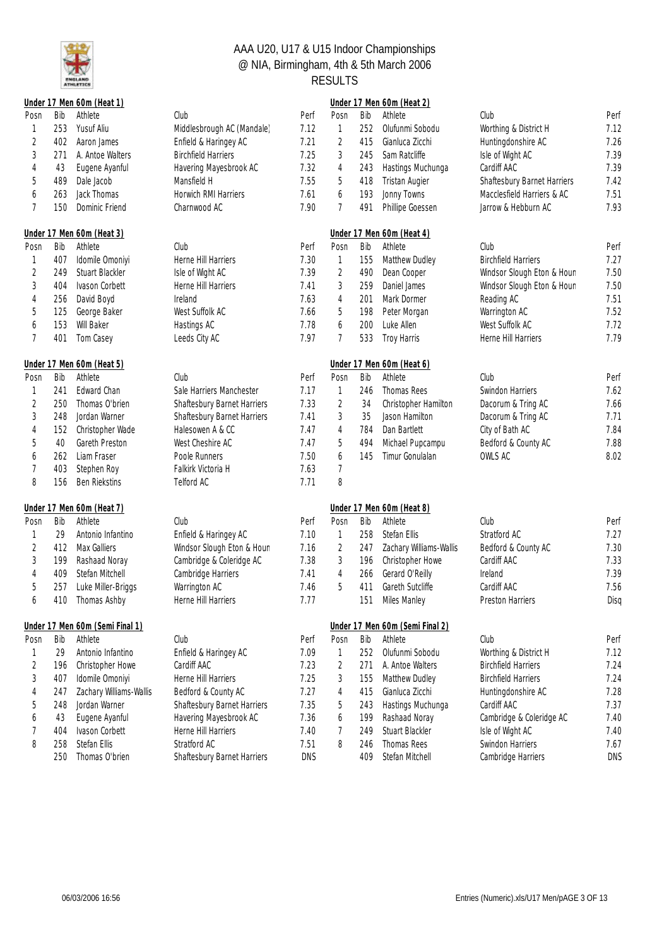

|                |     | Under 17 Men 60m (Heat 1)       |                             |            |                |     | Under 17 Men 60m (Heat 2)       |                             |            |
|----------------|-----|---------------------------------|-----------------------------|------------|----------------|-----|---------------------------------|-----------------------------|------------|
| Posn           | Bib | Athlete                         | Club                        | Perf       | Posn           | Bib | Athlete                         | Club                        | Perf       |
| 1              | 253 | Yusuf Aliu                      | Middlesbrough AC (Mandale)  | 7.12       | 1              | 252 | Olufunmi Sobodu                 | Worthing & District H       | 7.12       |
| 2              | 402 | Aaron James                     | Enfield & Haringey AC       | 7.21       | $\overline{2}$ | 415 | Gianluca Zicchi                 | Huntingdonshire AC          | 7.26       |
| 3              | 271 | A. Antoe Walters                | <b>Birchfield Harriers</b>  | 7.25       | 3              | 245 | Sam Ratcliffe                   | Isle of Wight AC            | 7.39       |
| 4              | 43  | Eugene Ayanful                  | Havering Mayesbrook AC      | 7.32       | 4              | 243 | Hastings Muchunga               | Cardiff AAC                 | 7.39       |
| 5              | 489 | Dale Jacob                      | Mansfield H                 | 7.55       | 5              | 418 | <b>Tristan Augier</b>           | Shaftesbury Barnet Harriers | 7.42       |
| 6              | 263 | Jack Thomas                     | Horwich RMI Harriers        | 7.61       | 6              | 193 | Jonny Towns                     | Macclesfield Harriers & AC  | 7.51       |
| $\overline{7}$ | 150 | Dominic Friend                  | Charnwood AC                | 7.90       | 7              | 491 | Phillipe Goessen                | Jarrow & Hebburn AC         | 7.93       |
|                |     | Under 17 Men 60m (Heat 3)       |                             |            |                |     | Under 17 Men 60m (Heat 4)       |                             |            |
| Posn           | Bib | Athlete                         | Club                        | Perf       | Posn           | Bib | Athlete                         | Club                        | Perf       |
| 1              | 407 | Idomile Omoniyi                 | Herne Hill Harriers         | 7.30       | 1              | 155 | Matthew Dudley                  | <b>Birchfield Harriers</b>  | 7.27       |
| 2              | 249 | Stuart Blackler                 | Isle of Wight AC            | 7.39       | $\sqrt{2}$     | 490 | Dean Cooper                     | Windsor Slough Eton & Houn  | 7.50       |
| $\sqrt{3}$     | 404 | Ivason Corbett                  | Herne Hill Harriers         | 7.41       | 3              | 259 | Daniel James                    | Windsor Slough Eton & Houn  | 7.50       |
| 4              | 256 | David Boyd                      | Ireland                     | 7.63       | 4              | 201 | Mark Dormer                     | Reading AC                  | 7.51       |
| 5              | 125 | George Baker                    | West Suffolk AC             | 7.66       | 5              | 198 | Peter Morgan                    | Warrington AC               | 7.52       |
| 6              | 153 | Will Baker                      | Hastings AC                 | 7.78       | 6              | 200 | Luke Allen                      | West Suffolk AC             | 7.72       |
| $\overline{7}$ | 401 | Tom Casey                       | Leeds City AC               | 7.97       | 7              | 533 | Troy Harris                     | Herne Hill Harriers         | 7.79       |
|                |     | Under 17 Men 60m (Heat 5)       |                             |            |                |     | Under 17 Men 60m (Heat 6)       |                             |            |
| Posn           | Bib | Athlete                         | Club                        | Perf       | Posn           | Bib | Athlete                         | Club                        | Perf       |
| 1              | 241 | Edward Chan                     | Sale Harriers Manchester    | 7.17       | 1              | 246 | Thomas Rees                     | Swindon Harriers            | 7.62       |
| 2              | 250 | Thomas O'brien                  | Shaftesbury Barnet Harriers | 7.33       | 2              | 34  | Christopher Hamilton            | Dacorum & Tring AC          | 7.66       |
| $\sqrt{3}$     | 248 | Jordan Warner                   | Shaftesbury Barnet Harriers | 7.41       | 3              | 35  | Jason Hamilton                  | Dacorum & Tring AC          | 7.71       |
| 4              | 152 | Christopher Wade                | Halesowen A & CC            | 7.47       | 4              | 784 | Dan Bartlett                    | City of Bath AC             | 7.84       |
| 5              | 40  | Gareth Preston                  | West Cheshire AC            | 7.47       | 5              | 494 | Michael Pupcampu                | Bedford & County AC         | 7.88       |
| 6              | 262 | Liam Fraser                     | Poole Runners               | 7.50       | 6              | 145 | Timur Gonulalan                 | OWLS AC                     | 8.02       |
| 7              | 403 | Stephen Roy                     | Falkirk Victoria H          | 7.63       | $\overline{7}$ |     |                                 |                             |            |
| 8              | 156 | <b>Ben Riekstins</b>            | Telford AC                  | 7.71       | 8              |     |                                 |                             |            |
|                |     | Under 17 Men 60m (Heat 7)       |                             |            |                |     | Under 17 Men 60m (Heat 8)       |                             |            |
| Posn           | Bib | Athlete                         | Club                        | Perf       | Posn           | Bib | Athlete                         | Club                        | Perf       |
| 1              | 29  | Antonio Infantino               | Enfield & Haringey AC       | 7.10       | 1              | 258 | Stefan Ellis                    | Stratford AC                | 7.27       |
| $\overline{2}$ | 412 | Max Galliers                    | Windsor Slough Eton & Houn  | 7.16       | $\sqrt{2}$     | 247 | Zachary Williams-Wallis         | Bedford & County AC         | 7.30       |
| $\sqrt{3}$     | 199 | Rashaad Noray                   | Cambridge & Coleridge AC    | 7.38       | $\sqrt{3}$     | 196 | Christopher Howe                | Cardiff AAC                 | 7.33       |
| 4              | 409 | Stefan Mitchell                 | Cambridge Harriers          | 7.41       | 4              | 266 | Gerard O'Reilly                 | Ireland                     | 7.39       |
| 5              | 257 | Luke Miller-Briggs              | Warrington AC               | 7.46       | 5              | 411 | Gareth Sutcliffe                | Cardiff AAC                 | 7.56       |
| 6              | 410 | Thomas Ashby                    | Herne Hill Harriers         | 7.77       |                | 151 | Miles Manley                    | Preston Harriers            | Disq       |
|                |     | Under 17 Men 60m (Semi Final 1) |                             |            |                |     | Under 17 Men 60m (Semi Final 2) |                             |            |
| Posn           | Bib | Athlete                         | Club                        | Perf       | Posn           | Bib | Athlete                         | Club                        | Perf       |
| 1              | 29  | Antonio Infantino               | Enfield & Haringey AC       | 7.09       | 1              | 252 | Olufunmi Sobodu                 | Worthing & District H       | 7.12       |
| 2              | 196 | Christopher Howe                | Cardiff AAC                 | 7.23       | 2              | 271 | A. Antoe Walters                | <b>Birchfield Harriers</b>  | 7.24       |
| 3              | 407 | Idomile Omoniyi                 | Herne Hill Harriers         | 7.25       | 3              | 155 | Matthew Dudley                  | <b>Birchfield Harriers</b>  | 7.24       |
| 4              | 247 | Zachary Williams-Wallis         | Bedford & County AC         | 7.27       | 4              | 415 | Gianluca Zicchi                 | Huntingdonshire AC          | 7.28       |
| 5              | 248 | Jordan Warner                   | Shaftesbury Barnet Harriers | 7.35       | 5              | 243 | Hastings Muchunga               | Cardiff AAC                 | 7.37       |
| 6              | 43  | Eugene Ayanful                  | Havering Mayesbrook AC      | 7.36       | 6              | 199 | Rashaad Noray                   | Cambridge & Coleridge AC    | 7.40       |
| 7              | 404 | Ivason Corbett                  | Herne Hill Harriers         | 7.40       | 7              | 249 | Stuart Blackler                 | Isle of Wight AC            | 7.40       |
| 8              | 258 | Stefan Ellis                    | Stratford AC                | 7.51       | 8              | 246 | Thomas Rees                     | Swindon Harriers            | 7.67       |
|                | 250 | Thomas O'brien                  | Shaftesbury Barnet Harriers | <b>DNS</b> |                | 409 | Stefan Mitchell                 | Cambridge Harriers          | <b>DNS</b> |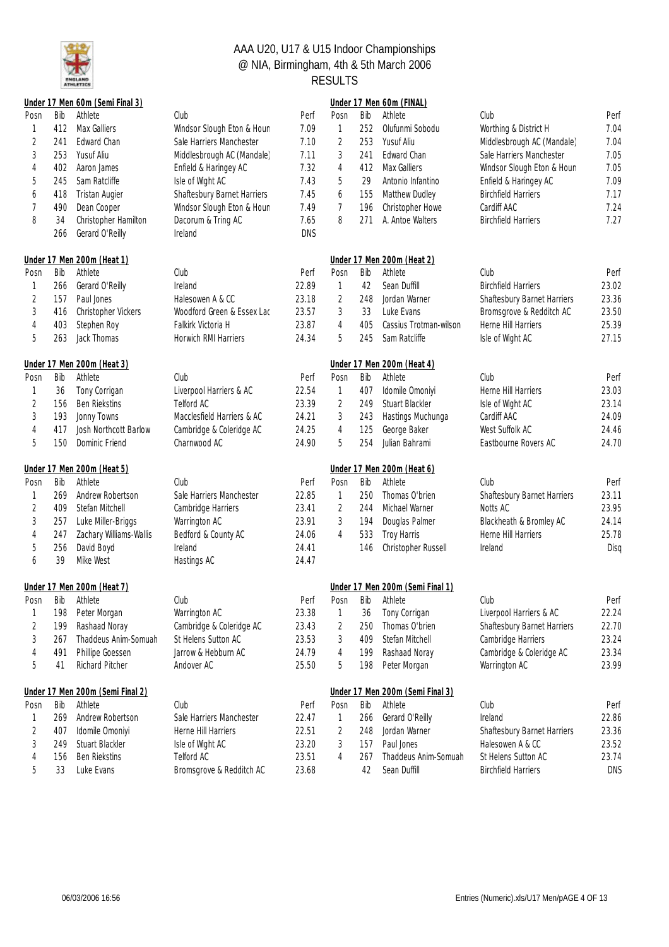

|                |     | Under 17 Men 60m (Semi Final 3)  |                             |       |                |     | Under 17 Men 60m (FINAL)         |                             |            |
|----------------|-----|----------------------------------|-----------------------------|-------|----------------|-----|----------------------------------|-----------------------------|------------|
| Posn           | Bib | Athlete                          | Club                        | Perf  | Posn           | Bib | Athlete                          | Club                        | Perf       |
| 1              | 412 | Max Galliers                     | Windsor Slough Eton & Houn  | 7.09  | 1              | 252 | Olufunmi Sobodu                  | Worthing & District H       | 7.04       |
| 2              | 241 | Edward Chan                      | Sale Harriers Manchester    | 7.10  | 2              | 253 | Yusuf Aliu                       | Middlesbrough AC (Mandale)  | 7.04       |
| 3              | 253 | Yusuf Aliu                       | Middlesbrough AC (Mandale)  | 7.11  | 3              | 241 | Edward Chan                      | Sale Harriers Manchester    | 7.05       |
| 4              | 402 | Aaron James                      | Enfield & Haringey AC       | 7.32  | 4              | 412 | Max Galliers                     | Windsor Slough Eton & Houn  | 7.05       |
| 5              | 245 | Sam Ratcliffe                    | Isle of Wight AC            | 7.43  | 5              | 29  | Antonio Infantino                | Enfield & Haringey AC       | 7.09       |
| 6              | 418 | <b>Tristan Augier</b>            | Shaftesbury Barnet Harriers | 7.45  | 6              | 155 | Matthew Dudley                   | <b>Birchfield Harriers</b>  | 7.17       |
| 7              | 490 | Dean Cooper                      | Windsor Slough Eton & Houn  | 7.49  | 7              | 196 | Christopher Howe                 | Cardiff AAC                 | 7.24       |
| 8              | 34  | Christopher Hamilton             | Dacorum & Tring AC          | 7.65  | 8              | 271 | A. Antoe Walters                 | <b>Birchfield Harriers</b>  | 7.27       |
|                | 266 | Gerard O'Reilly                  | Ireland                     | DNS   |                |     |                                  |                             |            |
|                |     | Under 17 Men 200m (Heat 1)       |                             |       |                |     | Under 17 Men 200m (Heat 2)       |                             |            |
| Posn           | Bib | Athlete                          | Club                        | Perf  | Posn           | Bib | Athlete                          | Club                        | Perf       |
| 1              | 266 | Gerard O'Reilly                  | Ireland                     | 22.89 | 1              | 42  | Sean Duffill                     | <b>Birchfield Harriers</b>  | 23.02      |
| $\overline{c}$ | 157 | Paul Jones                       | Halesowen A & CC            | 23.18 | $\overline{2}$ | 248 | Jordan Warner                    | Shaftesbury Barnet Harriers | 23.36      |
| 3              | 416 | Christopher Vickers              | Woodford Green & Essex Lac  | 23.57 | 3              | 33  | Luke Evans                       | Bromsgrove & Redditch AC    | 23.50      |
| 4              | 403 | Stephen Roy                      | Falkirk Victoria H          | 23.87 | 4              | 405 | Cassius Trotman-wilson           | Herne Hill Harriers         | 25.39      |
| 5              | 263 | Jack Thomas                      | Horwich RMI Harriers        | 24.34 | 5              | 245 | Sam Ratcliffe                    | Isle of Wight AC            | 27.15      |
|                |     | Under 17 Men 200m (Heat 3)       |                             |       |                |     | Under 17 Men 200m (Heat 4)       |                             |            |
| Posn           | Bib | Athlete                          | Club                        | Perf  | Posn           | Bib | Athlete                          | Club                        | Perf       |
| 1              | 36  | Tony Corrigan                    | Liverpool Harriers & AC     | 22.54 | 1              | 407 | Idomile Omoniyi                  | Herne Hill Harriers         | 23.03      |
| 2              | 156 | <b>Ben Riekstins</b>             | Telford AC                  | 23.39 | $\overline{2}$ | 249 | <b>Stuart Blackler</b>           | Isle of Wight AC            | 23.14      |
| 3              | 193 | Jonny Towns                      | Macclesfield Harriers & AC  | 24.21 | $\sqrt{3}$     | 243 | Hastings Muchunga                | Cardiff AAC                 | 24.09      |
| 4              | 417 | Josh Northcott Barlow            | Cambridge & Coleridge AC    | 24.25 | $\overline{4}$ | 125 | George Baker                     | West Suffolk AC             | 24.46      |
| 5              | 150 | Dominic Friend                   | Charnwood AC                | 24.90 | 5              | 254 | Julian Bahrami                   | Eastbourne Rovers AC        | 24.70      |
|                |     | Under 17 Men 200m (Heat 5)       |                             |       |                |     | Under 17 Men 200m (Heat 6)       |                             |            |
| Posn           | Bib | Athlete                          | Club                        | Perf  | Posn           | Bib | Athlete                          | Club                        | Perf       |
| 1              | 269 | Andrew Robertson                 | Sale Harriers Manchester    | 22.85 | 1              | 250 | Thomas O'brien                   | Shaftesbury Barnet Harriers | 23.11      |
| 2              | 409 | Stefan Mitchell                  | Cambridge Harriers          | 23.41 | 2              | 244 | Michael Warner                   | Notts AC                    | 23.95      |
| 3              | 257 | Luke Miller-Briggs               | Warrington AC               | 23.91 | 3              | 194 | Douglas Palmer                   | Blackheath & Bromley AC     | 24.14      |
| 4              | 247 | Zachary Williams-Wallis          | Bedford & County AC         | 24.06 | $\overline{4}$ | 533 | Troy Harris                      | Herne Hill Harriers         | 25.78      |
| 5              | 256 | David Boyd                       | Ireland                     | 24.41 |                | 146 | Christopher Russell              | Ireland                     | Disa       |
| 6              | 39  | Mike West                        | Hastings AC                 | 24.47 |                |     |                                  |                             |            |
|                |     | Under 17 Men 200m (Heat 7)       |                             |       |                |     | Under 17 Men 200m (Semi Final 1) |                             |            |
| Posn           | Bib | Athlete                          | Club                        | Perf  | Posn           | Bib | Athlete                          | Club                        | Perf       |
|                | 198 | Peter Morgan                     | Warrington AC               | 23.38 | 1              | 36  | Tony Corrigan                    | Liverpool Harriers & AC     | 22.24      |
| 2              | 199 | Rashaad Noray                    | Cambridge & Coleridge AC    | 23.43 | $\overline{2}$ | 250 | Thomas O'brien                   | Shaftesbury Barnet Harriers | 22.70      |
| 3              | 267 | Thaddeus Anim-Somuah             | St Helens Sutton AC         | 23.53 | 3              | 409 | Stefan Mitchell                  | Cambridge Harriers          | 23.24      |
| 4              | 491 | Phillipe Goessen                 | Jarrow & Hebburn AC         | 24.79 | 4              | 199 | Rashaad Noray                    | Cambridge & Coleridge AC    | 23.34      |
| 5              | 41  | Richard Pitcher                  | Andover AC                  | 25.50 | 5              | 198 | Peter Morgan                     | Warrington AC               | 23.99      |
|                |     | Under 17 Men 200m (Semi Final 2) |                             |       |                |     | Under 17 Men 200m (Semi Final 3) |                             |            |
| Posn           | Bib | Athlete                          | Club                        | Perf  | Posn           | Bib | Athlete                          | Club                        | Perf       |
| 1              | 269 | Andrew Robertson                 | Sale Harriers Manchester    | 22.47 | 1              | 266 | Gerard O'Reilly                  | Ireland                     | 22.86      |
| 2              | 407 | Idomile Omoniyi                  | Herne Hill Harriers         | 22.51 | $\overline{2}$ | 248 | Jordan Warner                    | Shaftesbury Barnet Harriers | 23.36      |
| 3              | 249 | Stuart Blackler                  | Isle of Wight AC            | 23.20 | 3              | 157 | Paul Jones                       | Halesowen A & CC            | 23.52      |
| 4              | 156 | <b>Ben Riekstins</b>             | Telford AC                  | 23.51 | 4              | 267 | Thaddeus Anim-Somuah             | St Helens Sutton AC         | 23.74      |
| 5              | 33  | Luke Evans                       | Bromsgrove & Redditch AC    | 23.68 |                | 42  | Sean Duffill                     | <b>Birchfield Harriers</b>  | <b>DNS</b> |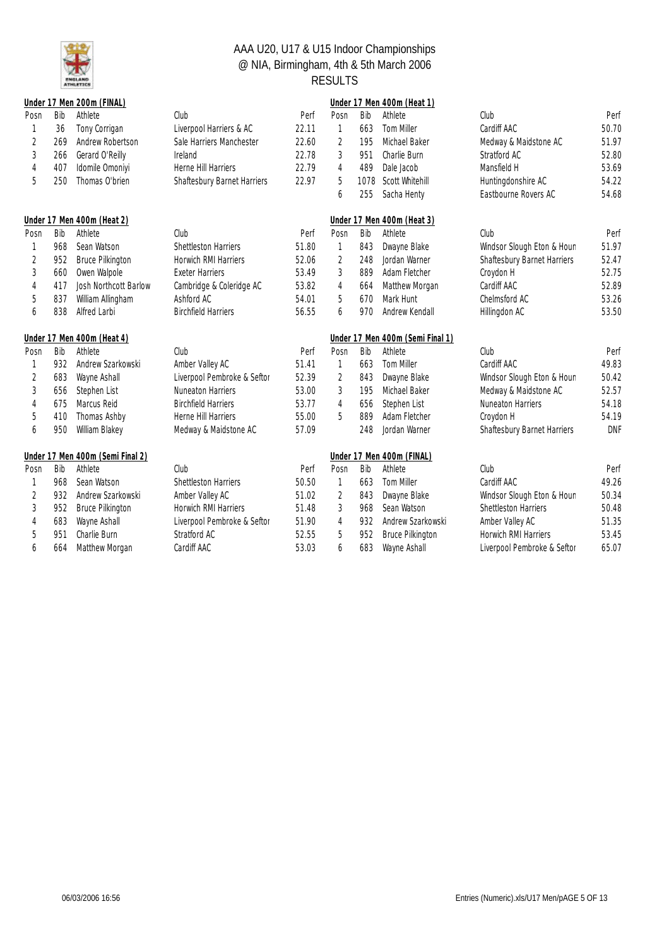

|                |     | Under 17 Men 200m (FINAL)        |                             |       |                |      | Under 17 Men 400m (Heat 1)       |                             |            |
|----------------|-----|----------------------------------|-----------------------------|-------|----------------|------|----------------------------------|-----------------------------|------------|
| Posn           | Bib | Athlete                          | Club                        | Perf  | Posn           | Bib  | Athlete                          | Club                        | Perf       |
| 1              | 36  | Tony Corrigan                    | Liverpool Harriers & AC     | 22.11 | 1              | 663  | Tom Miller                       | Cardiff AAC                 | 50.70      |
| 2              | 269 | Andrew Robertson                 | Sale Harriers Manchester    | 22.60 | $\overline{2}$ | 195  | Michael Baker                    | Medway & Maidstone AC       | 51.97      |
| 3              | 266 | Gerard O'Reilly                  | Ireland                     | 22.78 | 3              | 951  | Charlie Burn                     | Stratford AC                | 52.80      |
| 4              | 407 | Idomile Omoniyi                  | Herne Hill Harriers         | 22.79 | 4              | 489  | Dale Jacob                       | Mansfield H                 | 53.69      |
| 5              | 250 | Thomas O'brien                   | Shaftesbury Barnet Harriers | 22.97 | 5              | 1078 | Scott Whitehill                  | Huntingdonshire AC          | 54.22      |
|                |     |                                  |                             |       | 6              | 255  | Sacha Henty                      | Eastbourne Rovers AC        | 54.68      |
|                |     | Under 17 Men 400m (Heat 2)       |                             |       |                |      | Under 17 Men 400m (Heat 3)       |                             |            |
| Posn           | Bib | Athlete                          | Club                        | Perf  | Posn           | Bib  | Athlete                          | Club                        | Perf       |
| 1              | 968 | Sean Watson                      | <b>Shettleston Harriers</b> | 51.80 | 1              | 843  | Dwayne Blake                     | Windsor Slough Eton & Houn  | 51.97      |
| $\overline{2}$ | 952 | <b>Bruce Pilkington</b>          | Horwich RMI Harriers        | 52.06 | $\overline{2}$ | 248  | Jordan Warner                    | Shaftesbury Barnet Harriers | 52.47      |
| 3              | 660 | Owen Walpole                     | <b>Exeter Harriers</b>      | 53.49 | 3              | 889  | Adam Fletcher                    | Croydon H                   | 52.75      |
| 4              | 417 | Josh Northcott Barlow            | Cambridge & Coleridge AC    | 53.82 | 4              | 664  | Matthew Morgan                   | Cardiff AAC                 | 52.89      |
| 5              | 837 | William Allingham                | Ashford AC                  | 54.01 | 5              | 670  | Mark Hunt                        | Chelmsford AC               | 53.26      |
| 6              | 838 | Alfred Larbi                     | <b>Birchfield Harriers</b>  | 56.55 | 6              | 970  | Andrew Kendall                   | Hillingdon AC               | 53.50      |
|                |     |                                  |                             |       |                |      |                                  |                             |            |
|                |     | Under 17 Men 400m (Heat 4)       |                             |       |                |      | Under 17 Men 400m (Semi Final 1) |                             |            |
| Posn           | Bib | Athlete                          | Club                        | Perf  | Posn           | Bib  | Athlete                          | Club                        | Perf       |
| 1              | 932 | Andrew Szarkowski                | Amber Valley AC             | 51.41 | 1              | 663  | Tom Miller                       | Cardiff AAC                 | 49.83      |
| $\overline{2}$ | 683 | Wayne Ashall                     | Liverpool Pembroke & Seftor | 52.39 | $\overline{2}$ | 843  | Dwayne Blake                     | Windsor Slough Eton & Houn  | 50.42      |
| 3              | 656 | Stephen List                     | <b>Nuneaton Harriers</b>    | 53.00 | 3              | 195  | Michael Baker                    | Medway & Maidstone AC       | 52.57      |
| 4              | 675 | Marcus Reid                      | <b>Birchfield Harriers</b>  | 53.77 | 4              | 656  | Stephen List                     | <b>Nuneaton Harriers</b>    | 54.18      |
| 5              | 410 | Thomas Ashby                     | Herne Hill Harriers         | 55.00 | 5              | 889  | Adam Fletcher                    | Croydon H                   | 54.19      |
| 6              | 950 | William Blakey                   | Medway & Maidstone AC       | 57.09 |                | 248  | Jordan Warner                    | Shaftesbury Barnet Harriers | <b>DNF</b> |
|                |     | Under 17 Men 400m (Semi Final 2) |                             |       |                |      | Under 17 Men 400m (FINAL)        |                             |            |
| Posn           | Bib | Athlete                          | Club                        | Perf  | Posn           | Bib  | Athlete                          | Club                        | Perf       |
| 1              | 968 | Sean Watson                      | <b>Shettleston Harriers</b> | 50.50 | 1              | 663  | Tom Miller                       | Cardiff AAC                 | 49.26      |
| $\overline{2}$ | 932 | Andrew Szarkowski                | Amber Valley AC             | 51.02 | $\overline{2}$ | 843  | Dwayne Blake                     | Windsor Slough Eton & Houn  | 50.34      |
| 3              | 952 | <b>Bruce Pilkington</b>          | Horwich RMI Harriers        | 51.48 | 3              | 968  | Sean Watson                      | Shettleston Harriers        | 50.48      |
| 4              | 683 | Wayne Ashall                     | Liverpool Pembroke & Seftor | 51.90 | 4              | 932  | Andrew Szarkowski                | Amber Valley AC             | 51.35      |
| 5              | 951 | Charlie Burn                     | Stratford AC                | 52.55 | 5              | 952  | <b>Bruce Pilkington</b>          | Horwich RMI Harriers        | 53.45      |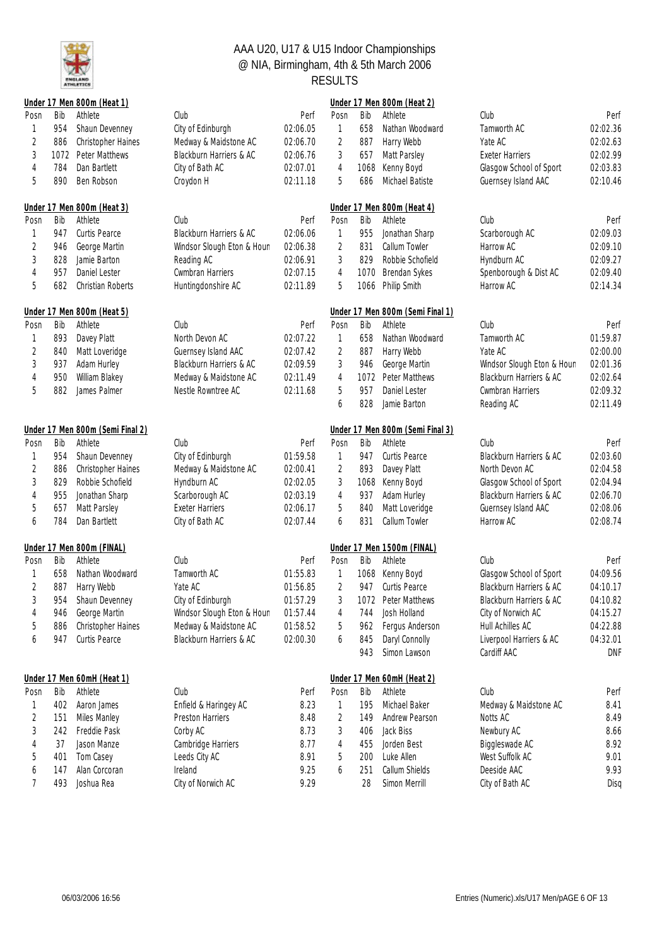

|                |      | Under 17 Men 800m (Heat 1)       |                            |          |                |      | Under 17 Men 800m (Heat 2)       |                            |            |
|----------------|------|----------------------------------|----------------------------|----------|----------------|------|----------------------------------|----------------------------|------------|
| Posn           | Bib  | Athlete                          | Club                       | Perf     | Posn           | Bib  | Athlete                          | Club                       | Perf       |
| 1              | 954  | Shaun Devenney                   | City of Edinburgh          | 02:06.05 | 1              | 658  | Nathan Woodward                  | Tamworth AC                | 02:02.36   |
| 2              | 886  | Christopher Haines               | Medway & Maidstone AC      | 02:06.70 | $\overline{2}$ | 887  | Harry Webb                       | Yate AC                    | 02:02.63   |
| 3              | 1072 | Peter Matthews                   | Blackburn Harriers & AC    | 02:06.76 | 3              | 657  | Matt Parsley                     | <b>Exeter Harriers</b>     | 02:02.99   |
| 4              | 784  | Dan Bartlett                     | City of Bath AC            | 02:07.01 | 4              | 1068 | Kenny Boyd                       | Glasgow School of Sport    | 02:03.83   |
| 5              | 890  | Ben Robson                       | Croydon H                  | 02:11.18 | 5              | 686  | Michael Batiste                  | Guernsey Island AAC        | 02:10.46   |
|                |      | Under 17 Men 800m (Heat 3)       |                            |          |                |      | Under 17 Men 800m (Heat 4)       |                            |            |
| Posn           | Bib  | Athlete                          | Club                       | Perf     | Posn           | Bib  | Athlete                          | Club                       | Perf       |
| 1              | 947  | Curtis Pearce                    | Blackburn Harriers & AC    | 02:06.06 | 1              | 955  | Jonathan Sharp                   | Scarborough AC             | 02:09.03   |
| 2              | 946  | George Martin                    | Windsor Slough Eton & Houn | 02:06.38 | 2              | 831  | Callum Towler                    | Harrow AC                  | 02:09.10   |
| 3              | 828  | Jamie Barton                     | Reading AC                 | 02:06.91 | 3              | 829  | Robbie Schofield                 | Hyndburn AC                | 02:09.27   |
| 4              | 957  | Daniel Lester                    | Cwmbran Harriers           | 02:07.15 | $\overline{4}$ | 1070 | Brendan Sykes                    | Spenborough & Dist AC      | 02:09.40   |
| 5              | 682  | Christian Roberts                | Huntingdonshire AC         | 02:11.89 | 5              | 1066 | Philip Smith                     | Harrow AC                  | 02:14.34   |
|                |      | Under 17 Men 800m (Heat 5)       |                            |          |                |      | Under 17 Men 800m (Semi Final 1) |                            |            |
| Posn           | Bib  | Athlete                          | Club                       | Perf     | Posn           | Bib  | Athlete                          | Club                       | Perf       |
| 1              | 893  | Davey Platt                      | North Devon AC             | 02:07.22 | 1              | 658  | Nathan Woodward                  | Tamworth AC                | 01:59.87   |
| $\overline{2}$ | 840  | Matt Loveridge                   | Guernsey Island AAC        | 02:07.42 | $\sqrt{2}$     | 887  | Harry Webb                       | Yate AC                    | 02:00.00   |
| 3              | 937  | Adam Hurley                      | Blackburn Harriers & AC    | 02:09.59 | 3              | 946  | George Martin                    | Windsor Slough Eton & Houn | 02:01.36   |
| 4              | 950  | William Blakey                   | Medway & Maidstone AC      | 02:11.49 | 4              | 1072 | Peter Matthews                   | Blackburn Harriers & AC    | 02:02.64   |
| 5              | 882  | James Palmer                     | Nestle Rowntree AC         | 02:11.68 | 5              | 957  | Daniel Lester                    | Cwmbran Harriers           | 02:09.32   |
|                |      |                                  |                            |          | 6              | 828  | Jamie Barton                     | Reading AC                 | 02:11.49   |
|                |      | Under 17 Men 800m (Semi Final 2) |                            |          |                |      | Under 17 Men 800m (Semi Final 3) |                            |            |
| Posn           | Bib  | Athlete                          | Club                       | Perf     | Posn           | Bib  | Athlete                          | Club                       | Perf       |
| 1              | 954  | Shaun Devenney                   | City of Edinburgh          | 01:59.58 | 1              | 947  | Curtis Pearce                    | Blackburn Harriers & AC    | 02:03.60   |
| 2              | 886  | Christopher Haines               | Medway & Maidstone AC      | 02:00.41 | 2              | 893  | Davey Platt                      | North Devon AC             | 02:04.58   |
| 3              | 829  | Robbie Schofield                 | Hyndburn AC                | 02:02.05 | 3              | 1068 | Kenny Boyd                       | Glasgow School of Sport    | 02:04.94   |
| 4              | 955  | Jonathan Sharp                   | Scarborough AC             | 02:03.19 | 4              | 937  | Adam Hurley                      | Blackburn Harriers & AC    | 02:06.70   |
| 5              | 657  | Matt Parsley                     | <b>Exeter Harriers</b>     | 02:06.17 | 5              | 840  | Matt Loveridge                   | Guernsey Island AAC        | 02:08.06   |
| 6              | 784  | Dan Bartlett                     | City of Bath AC            | 02:07.44 | 6              | 831  | Callum Towler                    | Harrow AC                  | 02:08.74   |
|                |      | Under 17 Men 800m (FINAL)        |                            |          |                |      | Under 17 Men 1500m (FINAL)       |                            |            |
| Posn           | Bib  | Athlete                          | Club                       | Perf     | Posn           | Bib  | Athlete                          | Club                       | Perf       |
| 1              | 658  | Nathan Woodward                  | Tamworth AC                | 01:55.83 | 1              | 1068 | Kenny Boyd                       | Glasgow School of Sport    | 04:09.56   |
| $\overline{2}$ | 887  | Harry Webb                       | Yate AC                    | 01:56.85 | $\overline{2}$ | 947  | Curtis Pearce                    | Blackburn Harriers & AC    | 04:10.17   |
| 3              |      | 954 Shaun Devenney               | City of Edinburgh          | 01:57.29 | 3              |      | 1072 Peter Matthews              | Blackburn Harriers & AC    | 04:10.82   |
| 4              | 946  | George Martin                    | Windsor Slough Eton & Houn | 01:57.44 | 4              | 744  | Josh Holland                     | City of Norwich AC         | 04:15.27   |
| 5              | 886  | Christopher Haines               | Medway & Maidstone AC      | 01:58.52 | 5              | 962  | Fergus Anderson                  | Hull Achilles AC           | 04:22.88   |
| 6              | 947  | Curtis Pearce                    | Blackburn Harriers & AC    | 02:00.30 | 6              | 845  | Daryl Connolly                   | Liverpool Harriers & AC    | 04:32.01   |
|                |      |                                  |                            |          |                | 943  | Simon Lawson                     | Cardiff AAC                | <b>DNF</b> |
|                |      | Under 17 Men 60mH (Heat 1)       |                            |          |                |      | Under 17 Men 60mH (Heat 2)       |                            |            |
| Posn           | Bib  | Athlete                          | Club                       | Perf     | Posn           | Bib  | Athlete                          | Club                       | Perf       |
| 1              | 402  | Aaron James                      | Enfield & Haringey AC      | 8.23     | 1              | 195  | Michael Baker                    | Medway & Maidstone AC      | 8.41       |
| $\overline{c}$ | 151  | Miles Manley                     | <b>Preston Harriers</b>    | 8.48     | $\overline{2}$ | 149  | Andrew Pearson                   | Notts AC                   | 8.49       |
| 3              | 242  | Freddie Pask                     | Corby AC                   | 8.73     | 3              | 406  | Jack Biss                        | Newbury AC                 | 8.66       |
| 4              | 37   | Jason Manze                      | Cambridge Harriers         | 8.77     | 4              | 455  | Jorden Best                      | Biggleswade AC             | 8.92       |
| 5              | 401  | Tom Casey                        | Leeds City AC              | 8.91     | 5              | 200  | Luke Allen                       | West Suffolk AC            | 9.01       |
| 6              | 147  | Alan Corcoran                    | Ireland                    | 9.25     | 6              | 251  | Callum Shields                   | Deeside AAC                | 9.93       |
| 7              | 493  | Joshua Rea                       | City of Norwich AC         | 9.29     |                | 28   | Simon Merrill                    | City of Bath AC            | Disq       |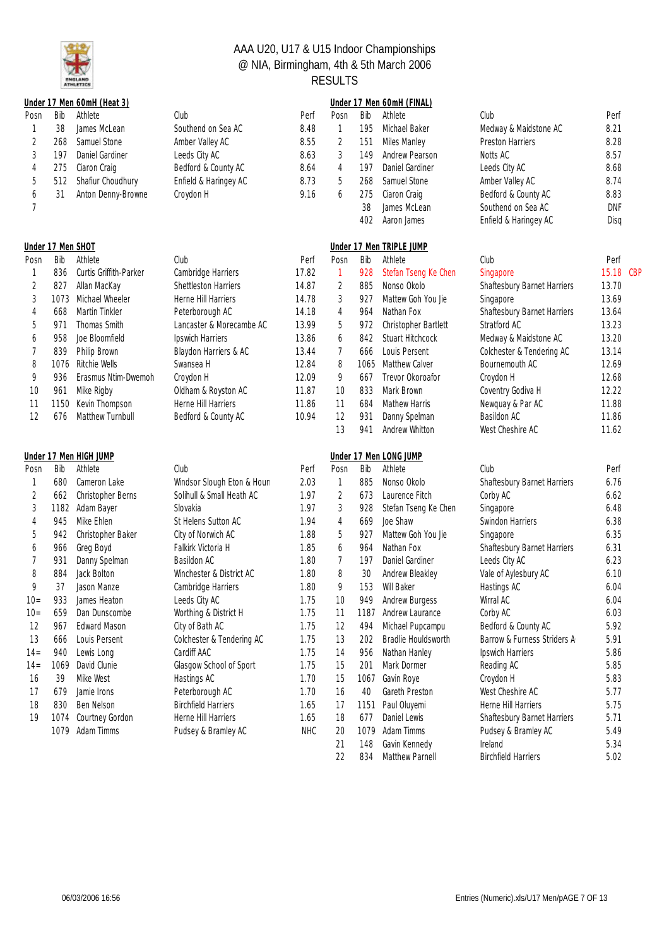

|                |                   | Under 17 Men 60mH (Heat 3)        |                            |            |                |      | Under 17 Men 60mH (FINAL)         |                             |              |
|----------------|-------------------|-----------------------------------|----------------------------|------------|----------------|------|-----------------------------------|-----------------------------|--------------|
| Posn           | Bib               | Athlete                           | Club                       | Perf       | Posn           | Bib  | Athlete                           | Club                        | Perf         |
| 1              | 38                | James McLean                      | Southend on Sea AC         | 8.48       | 1              | 195  | Michael Baker                     | Medway & Maidstone AC       | 8.21         |
| $\overline{c}$ | 268               | Samuel Stone                      | Amber Valley AC            | 8.55       | $\sqrt{2}$     | 151  | Miles Manley                      | <b>Preston Harriers</b>     | 8.28         |
| 3              | 197               | Daniel Gardiner                   | Leeds City AC              | 8.63       | 3              | 149  | Andrew Pearson                    | Notts AC                    | 8.57         |
| 4              | 275               | Ciaron Craig                      | Bedford & County AC        | 8.64       | 4              | 197  | Daniel Gardiner                   | Leeds City AC               | 8.68         |
| 5              | 512               | Shafiur Choudhury                 | Enfield & Haringey AC      | 8.73       | 5              | 268  | Samuel Stone                      | Amber Valley AC             | 8.74         |
| 6              | 31                | Anton Denny-Browne                | Croydon H                  | 9.16       | 6              | 275  | Ciaron Craig                      | Bedford & County AC         | 8.83         |
| 7              |                   |                                   |                            |            |                | 38   | James McLean                      | Southend on Sea AC          | <b>DNF</b>   |
|                |                   |                                   |                            |            |                | 402  | Aaron James                       | Enfield & Haringey AC       | Disq         |
|                | Under 17 Men SHOT |                                   |                            |            |                |      | Under 17 Men TRIPLE JUMP          |                             |              |
| Posn           | Bib               | Athlete                           | Club                       | Perf       | Posn           | Bib  | Athlete                           | Club                        | Perf         |
| 1              | 836               | Curtis Griffith-Parker            | Cambridge Harriers         | 17.82      | $\mathbf{1}$   | 928  | Stefan Tseng Ke Chen              | Singapore                   | 15.18 CBP    |
| 2              | 827               | Allan MacKay                      | Shettleston Harriers       | 14.87      | 2              | 885  | Nonso Okolo                       | Shaftesbury Barnet Harriers | 13.70        |
| 3              | 1073              | Michael Wheeler                   | Herne Hill Harriers        | 14.78      | 3              | 927  | Mattew Goh You Jie                | Singapore                   | 13.69        |
| 4              | 668               | Martin Tinkler                    | Peterborough AC            | 14.18      | 4              | 964  | Nathan Fox                        | Shaftesbury Barnet Harriers | 13.64        |
| 5              | 971               | Thomas Smith                      | Lancaster & Morecambe AC   | 13.99      | 5              | 972  | Christopher Bartlett              | Stratford AC                | 13.23        |
| 6              | 958               | Joe Bloomfield                    | Ipswich Harriers           | 13.86      | 6              | 842  | <b>Stuart Hitchcock</b>           | Medway & Maidstone AC       | 13.20        |
| 7              | 839               | Philip Brown                      | Blaydon Harriers & AC      | 13.44      | 7              | 666  | Louis Persent                     | Colchester & Tendering AC   | 13.14        |
| 8              | 1076              | Ritchie Wells                     | Swansea H                  | 12.84      | 8              | 1065 | Matthew Calver                    | Bournemouth AC              | 12.69        |
| 9              | 936               | Erasmus Ntim-Dwemoh               | Croydon H                  | 12.09      | 9              | 667  | Trevor Okoroafor                  | Croydon H                   | 12.68        |
| 10             | 961               | Mike Rigby                        | Oldham & Royston AC        | 11.87      | 10             | 833  | Mark Brown                        | Coventry Godiva H           | 12.22        |
| 11             | 1150              | Kevin Thompson                    | Herne Hill Harriers        | 11.86      | 11             | 684  | <b>Mathew Harris</b>              | Newquay & Par AC            | 11.88        |
| 12             | 676               | Matthew Turnbull                  | Bedford & County AC        | 10.94      | 12             | 931  | Danny Spelman                     | Basildon AC                 | 11.86        |
|                |                   |                                   |                            |            | 13             | 941  | Andrew Whitton                    | West Cheshire AC            | 11.62        |
|                |                   |                                   |                            |            |                |      |                                   |                             |              |
|                | Bib               | Under 17 Men HIGH JUMP<br>Athlete | Club                       | Perf       | Posn           | Bib  | Under 17 Men LONG JUMP<br>Athlete | Club                        | Perf         |
| Posn           | 680               | Cameron Lake                      |                            |            |                | 885  | Nonso Okolo                       |                             | 6.76         |
| 1              |                   |                                   | Windsor Slough Eton & Houn | 2.03       | 1              |      |                                   | Shaftesbury Barnet Harriers |              |
| $\overline{c}$ | 662               | Christopher Berns                 | Solihull & Small Heath AC  | 1.97       | $\overline{2}$ | 673  | Laurence Fitch                    | Corby AC                    | 6.62         |
| 3              | 1182              | Adam Bayer                        | Slovakia                   | 1.97       | 3              | 928  | Stefan Tseng Ke Chen              | Singapore                   | 6.48         |
| 4              | 945               | Mike Ehlen                        | St Helens Sutton AC        | 1.94       | 4              | 669  | Joe Shaw                          | Swindon Harriers            | 6.38         |
| 5              | 942               | Christopher Baker                 | City of Norwich AC         | 1.88       | 5              | 927  | Mattew Goh You Jie                | Singapore                   | 6.35<br>6.31 |
| 6              | 966               | Greg Boyd                         | Falkirk Victoria H         | 1.85       | 6              | 964  | Nathan Fox                        | Shaftesbury Barnet Harriers |              |
| 7              | 931               | Danny Spelman                     | Basildon AC                | 1.80       | 7              | 197  | Daniel Gardiner                   | Leeds City AC               | 6.23         |
| 8              | 884               | Jack Bolton                       | Winchester & District AC   | 1.80       | 8              | 30   | Andrew Bleakley                   | Vale of Aylesbury AC        | 6.10         |
| 9              | 37                | Jason Manze                       | Cambridge Harriers         | 1.80       | 9              | 153  | Will Baker                        | Hastings AC                 | 6.04         |
| $10 -$         | 933               | James Heaton                      | Leeds City AC              | 1.75       | 10             |      | 949 Andrew Burgess                | Wirral AC                   | 6.04         |
| $10 =$         | 659               | Dan Dunscombe                     | Worthing & District H      | 1.75       | 11             | 1187 | Andrew Laurance                   | Corby AC                    | 6.03         |
| 12             | 967               | Edward Mason                      | City of Bath AC            | 1.75       | 12             | 494  | Michael Pupcampu                  | Bedford & County AC         | 5.92         |
| 13             | 666               | Louis Persent                     | Colchester & Tendering AC  | 1.75       | 13             | 202  | Bradlie Houldsworth               | Barrow & Furness Striders A | 5.91         |
| $14 =$         | 940               | Lewis Long                        | Cardiff AAC                | 1.75       | 14             | 956  | Nathan Hanley                     | Ipswich Harriers            | 5.86         |
| $14 =$         | 1069              | David Clunie                      | Glasgow School of Sport    | 1.75       | 15             | 201  | Mark Dormer                       | Reading AC                  | 5.85         |
| 16             | 39                | Mike West                         | Hastings AC                | 1.70       | 15             | 1067 | Gavin Roye                        | Croydon H                   | 5.83         |
| 17             | 679               | Jamie Irons                       | Peterborough AC            | 1.70       | 16             | 40   | Gareth Preston                    | West Cheshire AC            | 5.77         |
| 18             | 830               | Ben Nelson                        | <b>Birchfield Harriers</b> | 1.65       | 17             | 1151 | Paul Oluyemi                      | Herne Hill Harriers         | 5.75         |
| 19             | 1074              | Courtney Gordon                   | Herne Hill Harriers        | 1.65       | 18             | 677  | Daniel Lewis                      | Shaftesbury Barnet Harriers | 5.71         |
|                | 1079              | Adam Timms                        | Pudsey & Bramley AC        | <b>NHC</b> | 20             | 1079 | Adam Timms                        | Pudsey & Bramley AC         | 5.49         |
|                |                   |                                   |                            |            | 21             | 148  | Gavin Kennedy                     | Ireland                     | 5.34         |

22 834 Matthew Parnell Birchfield Harriers 5.02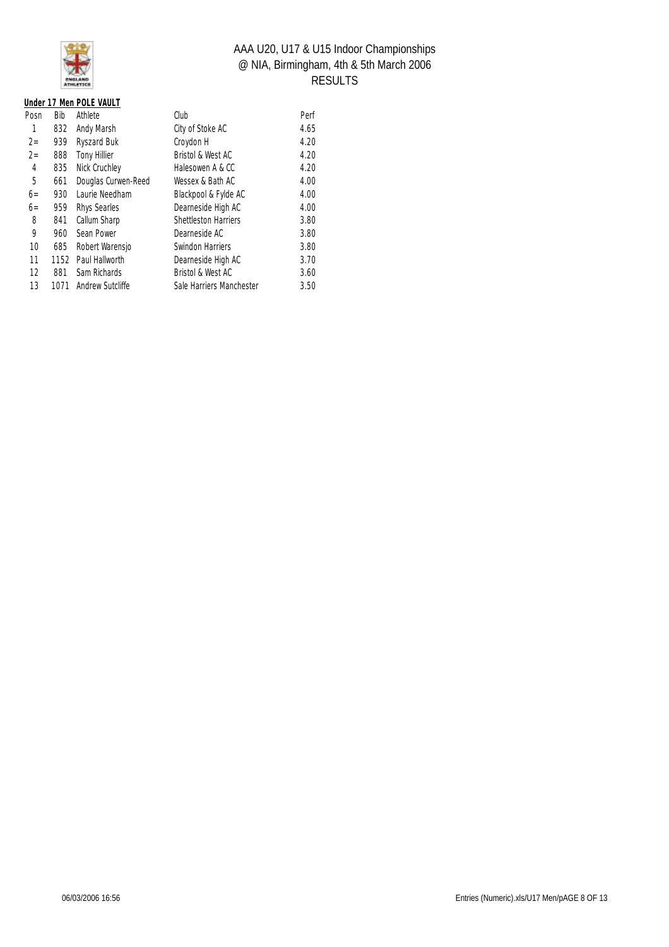

|  | Under 17 Men POLE VAULT |
|--|-------------------------|
|  | Posn Bib Athlete        |
|  | 1 832 Andy Marsh        |

| Posn  | Bib  | Athlete             | Club                        | Perf |
|-------|------|---------------------|-----------------------------|------|
|       | 832  | Andy Marsh          | City of Stoke AC            | 4.65 |
| $2 =$ | 939  | Ryszard Buk         | Croydon H                   | 4.20 |
| $2 =$ | 888  | Tony Hillier        | Bristol & West AC           | 4.20 |
| 4     | 835  | Nick Cruchley       | Halesowen A & CC            | 4.20 |
| 5     | 661  | Douglas Curwen-Reed | Wessex & Bath AC            | 4.00 |
| $6 =$ | 930  | Laurie Needham      | Blackpool & Fylde AC        | 4.00 |
| $6 =$ | 959  | Rhys Searles        | Dearneside High AC          | 4.00 |
| 8     | 841  | Callum Sharp        | <b>Shettleston Harriers</b> | 3.80 |
| 9     | 960  | Sean Power          | Dearneside AC               | 3.80 |
| 10    | 685  | Robert Warensjo     | Swindon Harriers            | 3.80 |
| 11    | 1152 | Paul Hallworth      | Dearneside High AC          | 3.70 |
| 12    | 881  | Sam Richards        | Bristol & West AC           | 3.60 |
| 13    | 1071 | Andrew Sutcliffe    | Sale Harriers Manchester    | 3.50 |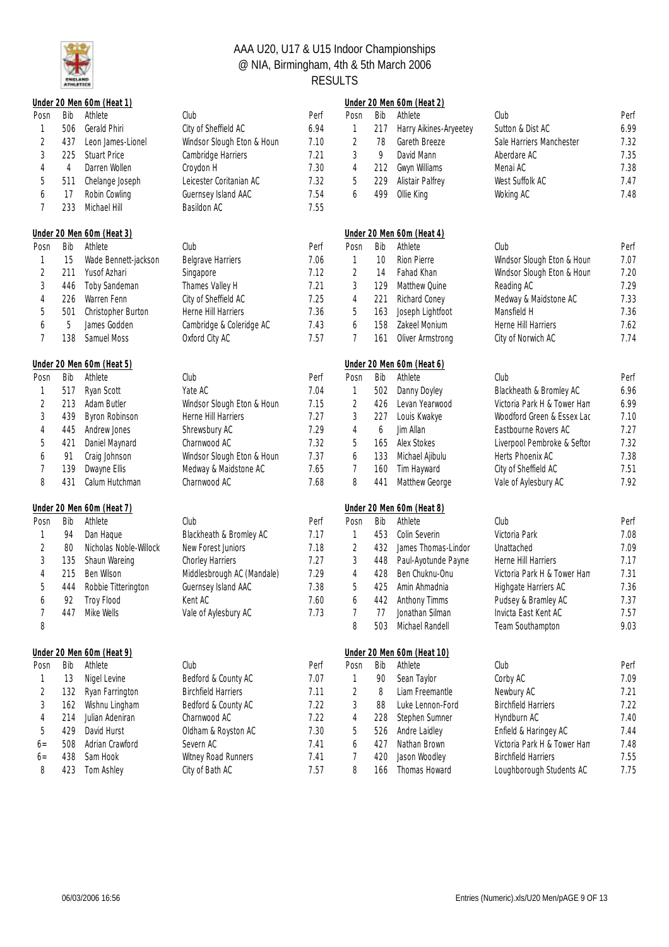

|                |     | Under 20 Men 60m (Heat 1) |                            |      |                |     | Under 20 Men 60m (Heat 2)  |                             |      |
|----------------|-----|---------------------------|----------------------------|------|----------------|-----|----------------------------|-----------------------------|------|
| Posn           | Bib | Athlete                   | Club                       | Perf | Posn           | Bib | Athlete                    | Club                        | Perf |
| 1              | 506 | Gerald Phiri              | City of Sheffield AC       | 6.94 | 1              | 217 | Harry Aikines-Aryeetey     | Sutton & Dist AC            | 6.99 |
| 2              | 437 | Leon James-Lionel         | Windsor Slough Eton & Houn | 7.10 | $\overline{2}$ | 78  | Gareth Breeze              | Sale Harriers Manchester    | 7.32 |
| 3              | 225 | <b>Stuart Price</b>       | Cambridge Harriers         | 7.21 | 3              | 9   | David Mann                 | Aberdare AC                 | 7.35 |
| 4              | 4   | Darren Wollen             | Croydon H                  | 7.30 | 4              | 212 | Gwyn Williams              | Menai AC                    | 7.38 |
| 5              | 511 | Chelange Joseph           | Leicester Coritanian AC    | 7.32 | 5              | 229 | Alistair Palfrey           | West Suffolk AC             | 7.47 |
| 6              | 17  | Robin Cowling             | Guernsey Island AAC        | 7.54 | 6              | 499 | Ollie King                 | Woking AC                   | 7.48 |
| 7              | 233 | Michael Hill              | Basildon AC                | 7.55 |                |     |                            |                             |      |
|                |     | Under 20 Men 60m (Heat 3) |                            |      |                |     | Under 20 Men 60m (Heat 4)  |                             |      |
| Posn           | Bib | Athlete                   | Club                       | Perf | Posn           | Bib | Athlete                    | Club                        | Perf |
| 1              | 15  | Wade Bennett-jackson      | <b>Belgrave Harriers</b>   | 7.06 | 1              | 10  | Rion Pierre                | Windsor Slough Eton & Houn  | 7.07 |
| $\overline{c}$ | 211 | Yusof Azhari              | Singapore                  | 7.12 | $\overline{2}$ | 14  | Fahad Khan                 | Windsor Slough Eton & Houn  | 7.20 |
| 3              | 446 | Toby Sandeman             | Thames Valley H            | 7.21 | 3              | 129 | Matthew Quine              | Reading AC                  | 7.29 |
| 4              | 226 | Warren Fenn               | City of Sheffield AC       | 7.25 | 4              | 221 | Richard Coney              | Medway & Maidstone AC       | 7.33 |
| 5              | 501 | Christopher Burton        | Herne Hill Harriers        | 7.36 | 5              | 163 | Joseph Lightfoot           | Mansfield H                 | 7.36 |
| 6              | 5   | James Godden              | Cambridge & Coleridge AC   | 7.43 | 6              | 158 | Zakeel Monium              | Herne Hill Harriers         | 7.62 |
| 7              | 138 | Samuel Moss               | Oxford City AC             | 7.57 | 7              | 161 | Oliver Armstrong           | City of Norwich AC          | 7.74 |
|                |     | Under 20 Men 60m (Heat 5) |                            |      |                |     | Under 20 Men 60m (Heat 6)  |                             |      |
| Posn           | Bib | Athlete                   | Club                       | Perf | Posn           | Bib | Athlete                    | Club                        | Perf |
| 1              | 517 | Ryan Scott                | Yate AC                    | 7.04 | 1              | 502 | Danny Doyley               | Blackheath & Bromley AC     | 6.96 |
| 2              | 213 | Adam Butler               | Windsor Slough Eton & Houn | 7.15 | 2              | 426 | Levan Yearwood             | Victoria Park H & Tower Ham | 6.99 |
| $\sqrt{3}$     | 439 | <b>Byron Robinson</b>     | Herne Hill Harriers        | 7.27 | 3              | 227 | Louis Kwakye               | Woodford Green & Essex Lac  | 7.10 |
| 4              | 445 | Andrew Jones              | Shrewsbury AC              | 7.29 | 4              | 6   | Jim Allan                  | Eastbourne Rovers AC        | 7.27 |
| 5              | 421 | Daniel Maynard            | Charnwood AC               | 7.32 | 5              | 165 | Alex Stokes                | Liverpool Pembroke & Seftor | 7.32 |
| 6              | 91  | Craig Johnson             | Windsor Slough Eton & Houn | 7.37 | 6              | 133 | Michael Ajibulu            | Herts Phoenix AC            | 7.38 |
| $\overline{7}$ | 139 | Dwayne Ellis              | Medway & Maidstone AC      | 7.65 | 7              | 160 | Tim Hayward                | City of Sheffield AC        | 7.51 |
| 8              | 431 | Calum Hutchman            | Charnwood AC               | 7.68 | 8              | 441 | Matthew George             | Vale of Aylesbury AC        | 7.92 |
|                |     | Under 20 Men 60m (Heat 7) |                            |      |                |     | Under 20 Men 60m (Heat 8)  |                             |      |
| Posn           | Bib | Athlete                   | Club                       | Perf | Posn           | Bib | Athlete                    | Club                        | Perf |
|                | 94  | Dan Haque                 | Blackheath & Bromley AC    | 7.17 | 1              | 453 | Colin Severin              | Victoria Park               | 7.08 |
| $\overline{2}$ | 80  | Nicholas Noble-Willock    | New Forest Juniors         | 7.18 | 2              | 432 | James Thomas-Lindor        | Unattached                  | 7.09 |
| 3              | 135 | Shaun Wareing             | Chorley Harriers           | 7.27 | 3              | 448 | Paul-Ayotunde Payne        | Herne Hill Harriers         | 7.17 |
| 4              | 215 | Ben Wilson                | Middlesbrough AC (Mandale) | 7.29 | 4              | 428 | Ben Chuknu-Onu             | Victoria Park H & Tower Ham | 7.31 |
| 5              | 444 | Robbie Titterington       | Guernsey Island AAC        | 7.38 | 5              | 425 | Amin Ahmadnia              | Highgate Harriers AC        | 7.36 |
| 6              | 92  | Troy Flood                | Kent AC                    | 7.60 | 6              | 442 | Anthony Timms              | Pudsey & Bramley AC         | 7.37 |
| 7              | 447 | Mike Wells                | Vale of Aylesbury AC       | 7.73 | 7              | 77  | Jonathan Silman            | Invicta East Kent AC        | 7.57 |
| 8              |     |                           |                            |      | 8              | 503 | Michael Randell            | Team Southampton            | 9.03 |
|                |     | Under 20 Men 60m (Heat 9) |                            |      |                |     | Under 20 Men 60m (Heat 10) |                             |      |
| Posn           | Bib | Athlete                   | Club                       | Perf | Posn           | Bib | Athlete                    | Club                        | Perf |
| 1              | 13  | Nigel Levine              | Bedford & County AC        | 7.07 | 1              | 90  | Sean Taylor                | Corby AC                    | 7.09 |
| $\overline{c}$ | 132 | Ryan Farrington           | <b>Birchfield Harriers</b> | 7.11 | $\overline{2}$ | 8   | Liam Freemantle            | Newbury AC                  | 7.21 |
| 3              | 162 | Wishnu Lingham            | Bedford & County AC        | 7.22 | 3              | 88  | Luke Lennon-Ford           | <b>Birchfield Harriers</b>  | 7.22 |
| 4              | 214 | Julian Adeniran           | Charnwood AC               | 7.22 | 4              | 228 | Stephen Sumner             | Hyndburn AC                 | 7.40 |
| 5              | 429 | David Hurst               | Oldham & Royston AC        | 7.30 | 5              | 526 | Andre Laidley              | Enfield & Haringey AC       | 7.44 |
| $6=$           | 508 | Adrian Crawford           | Severn AC                  | 7.41 | 6              | 427 | Nathan Brown               | Victoria Park H & Tower Ham | 7.48 |
| $6=$           | 438 | Sam Hook                  | Witney Road Runners        | 7.41 | 7              | 420 | Jason Woodley              | <b>Birchfield Harriers</b>  | 7.55 |
| 8              | 423 | Tom Ashley                | City of Bath AC            | 7.57 | 8              | 166 | Thomas Howard              | Loughborough Students AC    | 7.75 |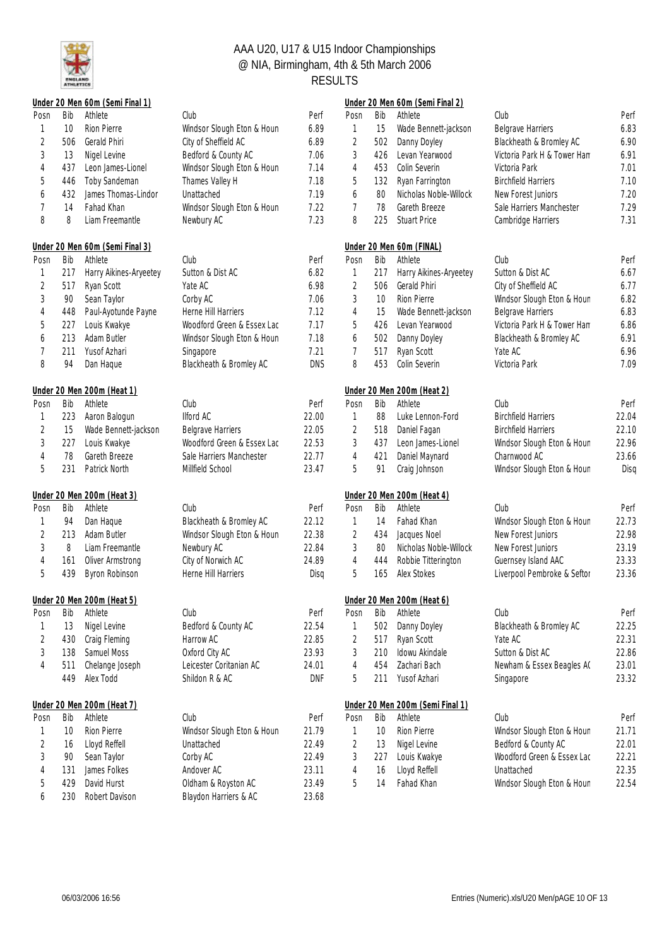

|                |     | Under 20 Men 60m (Semi Final 1) |                            |            |                |     | Under 20 Men 60m (Semi Final 2)  |                             |       |
|----------------|-----|---------------------------------|----------------------------|------------|----------------|-----|----------------------------------|-----------------------------|-------|
| Posn           | Bib | Athlete                         | Club                       | Perf       | Posn           | Bib | Athlete                          | Club                        | Perf  |
| 1              | 10  | <b>Rion Pierre</b>              | Windsor Slough Eton & Houn | 6.89       | $\mathbf{1}$   | 15  | Wade Bennett-jackson             | <b>Belgrave Harriers</b>    | 6.83  |
| 2              | 506 | Gerald Phiri                    | City of Sheffield AC       | 6.89       | 2              | 502 | Danny Doyley                     | Blackheath & Bromley AC     | 6.90  |
| $\mathfrak{Z}$ | 13  | Nigel Levine                    | Bedford & County AC        | 7.06       | 3              | 426 | Levan Yearwood                   | Victoria Park H & Tower Ham | 6.91  |
| 4              | 437 | Leon James-Lionel               | Windsor Slough Eton & Houn | 7.14       | 4              | 453 | Colin Severin                    | Victoria Park               | 7.01  |
| 5              | 446 | Toby Sandeman                   | Thames Valley H            | 7.18       | 5              | 132 | Ryan Farrington                  | <b>Birchfield Harriers</b>  | 7.10  |
| 6              | 432 | James Thomas-Lindor             | Unattached                 | 7.19       | 6              | 80  | Nicholas Noble-Willock           | New Forest Juniors          | 7.20  |
| $\overline{7}$ | 14  | Fahad Khan                      | Windsor Slough Eton & Houn | 7.22       | $\overline{7}$ | 78  | Gareth Breeze                    | Sale Harriers Manchester    | 7.29  |
| 8              | 8   | Liam Freemantle                 | Newbury AC                 | 7.23       | 8              | 225 | <b>Stuart Price</b>              | Cambridge Harriers          | 7.31  |
|                |     | Under 20 Men 60m (Semi Final 3) |                            |            |                |     | Under 20 Men 60m (FINAL)         |                             |       |
| Posn           | Bib | Athlete                         | Club                       | Perf       | Posn           | Bib | Athlete                          | Club                        | Perf  |
| 1              | 217 | Harry Aikines-Aryeetey          | Sutton & Dist AC           | 6.82       | $\mathbf{1}$   | 217 | Harry Aikines-Aryeetey           | Sutton & Dist AC            | 6.67  |
| $\overline{2}$ | 517 | Ryan Scott                      | Yate AC                    | 6.98       | $\overline{2}$ | 506 | Gerald Phiri                     | City of Sheffield AC        | 6.77  |
| 3              | 90  | Sean Taylor                     | Corby AC                   | 7.06       | 3              | 10  | Rion Pierre                      | Windsor Slough Eton & Houn  | 6.82  |
| 4              | 448 | Paul-Ayotunde Payne             | Herne Hill Harriers        | 7.12       | 4              | 15  | Wade Bennett-jackson             | <b>Belgrave Harriers</b>    | 6.83  |
| 5              | 227 | Louis Kwakye                    | Woodford Green & Essex Lac | 7.17       | 5              | 426 | Levan Yearwood                   | Victoria Park H & Tower Ham | 6.86  |
| 6              | 213 | Adam Butler                     | Windsor Slough Eton & Houn | 7.18       | 6              | 502 | Danny Doyley                     | Blackheath & Bromley AC     | 6.91  |
| 7              | 211 | Yusof Azhari                    | Singapore                  | 7.21       | 7              | 517 | Ryan Scott                       | Yate AC                     | 6.96  |
| 8              | 94  | Dan Haque                       | Blackheath & Bromley AC    | <b>DNS</b> | 8              | 453 | Colin Severin                    | Victoria Park               | 7.09  |
|                |     | Under 20 Men 200m (Heat 1)      |                            |            |                |     | Under 20 Men 200m (Heat 2)       |                             |       |
| Posn           | Bib | Athlete                         | Club                       | Perf       | Posn           | Bib | Athlete                          | Club                        | Perf  |
| 1              | 223 | Aaron Balogun                   | <b>Ilford AC</b>           | 22.00      | 1              | 88  | Luke Lennon-Ford                 | <b>Birchfield Harriers</b>  | 22.04 |
| $\sqrt{2}$     | 15  | Wade Bennett-jackson            | <b>Belgrave Harriers</b>   | 22.05      | $\sqrt{2}$     | 518 | Daniel Fagan                     | <b>Birchfield Harriers</b>  | 22.10 |
| $\sqrt{3}$     | 227 | Louis Kwakye                    | Woodford Green & Essex Lac | 22.53      | 3              | 437 | Leon James-Lionel                | Windsor Slough Eton & Houn  | 22.96 |
| 4              | 78  | Gareth Breeze                   | Sale Harriers Manchester   | 22.77      | $\overline{4}$ | 421 | Daniel Maynard                   | Charnwood AC                | 23.66 |
| 5              | 231 | Patrick North                   | Millfield School           | 23.47      | 5              | 91  | Craig Johnson                    | Windsor Slough Eton & Houn  | Diso  |
|                |     | Under 20 Men 200m (Heat 3)      |                            |            |                |     | Under 20 Men 200m (Heat 4)       |                             |       |
| Posn           | Bib | Athlete                         | Club                       | Perf       | Posn           | Bib | Athlete                          | Club                        | Perf  |
| 1              | 94  | Dan Haque                       | Blackheath & Bromley AC    | 22.12      | 1              | 14  | Fahad Khan                       | Windsor Slough Eton & Houn  | 22.73 |
| $\sqrt{2}$     | 213 | Adam Butler                     | Windsor Slough Eton & Houn | 22.38      | 2              | 434 | Jacques Noel                     | New Forest Juniors          | 22.98 |
| 3              | 8   | Liam Freemantle                 | Newbury AC                 | 22.84      | 3              | 80  | Nicholas Noble-Willock           | New Forest Juniors          | 23.19 |
| 4              | 161 | Oliver Armstrong                | City of Norwich AC         | 24.89      | $\overline{4}$ | 444 | Robbie Titterington              | Guernsey Island AAC         | 23.33 |
| 5              | 439 | Byron Robinson                  | Herne Hill Harriers        | Disq       | 5              | 165 | Alex Stokes                      | Liverpool Pembroke & Seftor | 23.36 |
|                |     | Under 20 Men 200m (Heat 5)      |                            |            |                |     | Under 20 Men 200m (Heat 6)       |                             |       |
| Posn           | Bib | Athlete                         | Club                       | Perf       | Posn           | Bib | Athlete                          | Club                        | Perf  |
| 1              | 13  | Nigel Levine                    | Bedford & County AC        | 22.54      | 1              | 502 | Danny Doyley                     | Blackheath & Bromley AC     | 22.25 |
| $\sqrt{2}$     | 430 | Craig Fleming                   | Harrow AC                  | 22.85      | $\overline{2}$ | 517 | Ryan Scott                       | Yate AC                     | 22.31 |
| 3              | 138 | Samuel Moss                     | Oxford City AC             | 23.93      | 3              | 210 | Idowu Akindale                   | Sutton & Dist AC            | 22.86 |
| 4              | 511 | Chelange Joseph                 | Leicester Coritanian AC    | 24.01      | 4              | 454 | Zachari Bach                     | Newham & Essex Beagles AC   | 23.01 |
|                | 449 | Alex Todd                       | Shildon R & AC             | DNF        | 5              | 211 | Yusof Azhari                     | Singapore                   | 23.32 |
|                |     | Under 20 Men 200m (Heat 7)      |                            |            |                |     | Under 20 Men 200m (Semi Final 1) |                             |       |
| Posn           | Bib | Athlete                         | Club                       | Perf       | Posn           | Bib | Athlete                          | Club                        | Perf  |
| 1              | 10  | Rion Pierre                     | Windsor Slough Eton & Houn | 21.79      | 1              | 10  | Rion Pierre                      | Windsor Slough Eton & Houn  | 21.71 |
| 2              | 16  | Lloyd Reffell                   | Unattached                 | 22.49      | 2              | 13  | Nigel Levine                     | Bedford & County AC         | 22.01 |
| 3              | 90  | Sean Taylor                     | Corby AC                   | 22.49      | 3              | 227 | Louis Kwakye                     | Woodford Green & Essex Lac  | 22.21 |
| 4              | 131 | James Folkes                    | Andover AC                 | 23.11      | 4              | 16  | Lloyd Reffell                    | Unattached                  | 22.35 |
| 5              | 429 | David Hurst                     | Oldham & Royston AC        | 23.49      | 5              | 14  | Fahad Khan                       | Windsor Slough Eton & Houn  | 22.54 |
| 6              | 230 | Robert Davison                  | Blaydon Harriers & AC      | 23.68      |                |     |                                  |                             |       |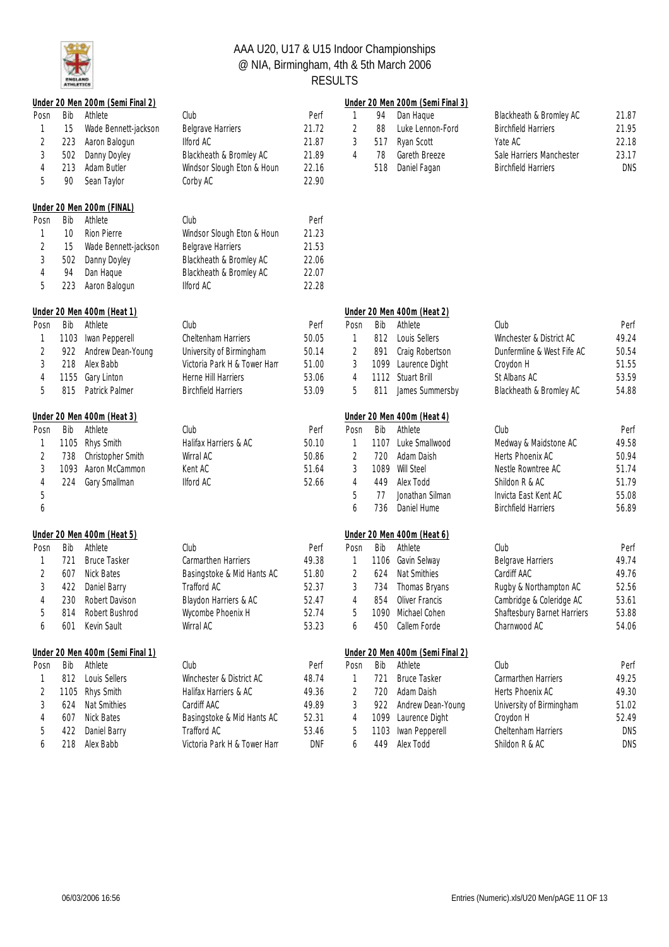

|                |      | Under 20 Men 200m (Semi Final 2) |                             |            |                |      | Under 20 Men 200m (Semi Final 3) |                             |            |
|----------------|------|----------------------------------|-----------------------------|------------|----------------|------|----------------------------------|-----------------------------|------------|
| Posn           | Bib  | Athlete                          | Club                        | Perf       | 1              | 94   | Dan Haque                        | Blackheath & Bromley AC     | 21.87      |
| 1              | 15   | Wade Bennett-jackson             | <b>Belgrave Harriers</b>    | 21.72      | 2              | 88   | Luke Lennon-Ford                 | <b>Birchfield Harriers</b>  | 21.95      |
| $\sqrt{2}$     | 223  | Aaron Balogun                    | Ilford AC                   | 21.87      | 3              | 517  | Ryan Scott                       | Yate AC                     | 22.18      |
| 3              | 502  | Danny Doyley                     | Blackheath & Bromley AC     | 21.89      | $\overline{4}$ | 78   | Gareth Breeze                    | Sale Harriers Manchester    | 23.17      |
| 4              | 213  | Adam Butler                      | Windsor Slough Eton & Houn  | 22.16      |                | 518  | Daniel Fagan                     | <b>Birchfield Harriers</b>  | <b>DNS</b> |
| 5              | 90   | Sean Taylor                      | Corby AC                    | 22.90      |                |      |                                  |                             |            |
|                |      | Under 20 Men 200m (FINAL)        |                             |            |                |      |                                  |                             |            |
| Posn           | Bib  | Athlete                          | Club                        | Perf       |                |      |                                  |                             |            |
| 1              | 10   | <b>Rion Pierre</b>               | Windsor Slough Eton & Houn  | 21.23      |                |      |                                  |                             |            |
| 2              | 15   | Wade Bennett-jackson             | <b>Belgrave Harriers</b>    | 21.53      |                |      |                                  |                             |            |
| 3              | 502  | Danny Doyley                     | Blackheath & Bromley AC     | 22.06      |                |      |                                  |                             |            |
| 4              | 94   | Dan Haque                        | Blackheath & Bromley AC     | 22.07      |                |      |                                  |                             |            |
| 5              | 223  | Aaron Balogun                    | Ilford AC                   | 22.28      |                |      |                                  |                             |            |
|                |      | Under 20 Men 400m (Heat 1)       |                             |            |                |      | Under 20 Men 400m (Heat 2)       |                             |            |
| Posn           | Bib  | Athlete                          | Club                        | Perf       | Posn           | Bib  | Athlete                          | Club                        | Perf       |
| 1              | 1103 | Iwan Pepperell                   | Cheltenham Harriers         | 50.05      | 1              | 812  | Louis Sellers                    | Winchester & District AC    | 49.24      |
| $\sqrt{2}$     | 922  | Andrew Dean-Young                | University of Birmingham    | 50.14      | $\overline{2}$ | 891  | Craig Robertson                  | Dunfermline & West Fife AC  | 50.54      |
| 3              | 218  | Alex Babb                        | Victoria Park H & Tower Ham | 51.00      | 3              |      | 1099 Laurence Dight              | Croydon H                   | 51.55      |
| 4              |      | 1155 Gary Linton                 | Herne Hill Harriers         | 53.06      | $\overline{4}$ |      | 1112 Stuart Brill                | St Albans AC                | 53.59      |
| 5              | 815  | Patrick Palmer                   | <b>Birchfield Harriers</b>  | 53.09      | 5              | 811  | James Summersby                  | Blackheath & Bromley AC     | 54.88      |
|                |      | Under 20 Men 400m (Heat 3)       |                             |            |                |      | Under 20 Men 400m (Heat 4)       |                             |            |
| Posn           | Bib  | Athlete                          | Club                        | Perf       | Posn           | Bib  | Athlete                          | Club                        | Perf       |
| 1              | 1105 | Rhys Smith                       | Halifax Harriers & AC       | 50.10      | 1              | 1107 | Luke Smallwood                   | Medway & Maidstone AC       | 49.58      |
| $\overline{2}$ | 738  | Christopher Smith                | Wirral AC                   | 50.86      | 2              | 720  | Adam Daish                       | Herts Phoenix AC            | 50.94      |
| 3              | 1093 | Aaron McCammon                   | Kent AC                     | 51.64      | 3              | 1089 | Will Steel                       | Nestle Rowntree AC          | 51.74      |
| 4              | 224  | Gary Smallman                    | Ilford AC                   | 52.66      | 4              | 449  | Alex Todd                        | Shildon R & AC              | 51.79      |
| 5              |      |                                  |                             |            | 5              | 77   | Jonathan Silman                  | Invicta East Kent AC        | 55.08      |
| 6              |      |                                  |                             |            | 6              | 736  | Daniel Hume                      | <b>Birchfield Harriers</b>  | 56.89      |
|                |      | Under 20 Men 400m (Heat 5)       |                             |            |                |      | Under 20 Men 400m (Heat 6)       |                             |            |
| Posn           | Bib  | Athlete                          | Club                        | Perf       | Posn           | Bib  | Athlete                          | Club                        | Perf       |
| 1              | 721  | <b>Bruce Tasker</b>              | Carmarthen Harriers         | 49.38      | 1              |      | 1106 Gavin Selway                | <b>Belgrave Harriers</b>    | 49.74      |
| 2              | 607  | Nick Bates                       | Basingstoke & Mid Hants AC  | 51.80      | 2              | 624  | Nat Smithies                     | Cardiff AAC                 | 49.76      |
| 3              | 422  | Daniel Barry                     | Trafford AC                 | 52.37      | 3              | 734  | Thomas Bryans                    | Rugby & Northampton AC      | 52.56      |
| 4              | 230  | Robert Davison                   | Blaydon Harriers & AC       | 52.47      | 4              |      | 854 Oliver Francis               | Cambridge & Coleridge AC    | 53.61      |
| 5              | 814  | Robert Bushrod                   | Wycombe Phoenix H           | 52.74      | 5              |      | 1090 Michael Cohen               | Shaftesbury Barnet Harriers | 53.88      |
| 6              | 601  | Kevin Sault                      | Wirral AC                   | 53.23      | 6              | 450  | Callem Forde                     | Charnwood AC                | 54.06      |
|                |      | Under 20 Men 400m (Semi Final 1) |                             |            |                |      | Under 20 Men 400m (Semi Final 2) |                             |            |
| Posn           | Bib  | Athlete                          | Club                        | Perf       | Posn           | Bib  | Athlete                          | Club                        | Perf       |
| 1              | 812  | Louis Sellers                    | Winchester & District AC    | 48.74      | 1              | 721  | <b>Bruce Tasker</b>              | Carmarthen Harriers         | 49.25      |
| 2              | 1105 | Rhys Smith                       | Halifax Harriers & AC       | 49.36      | 2              | 720  | Adam Daish                       | Herts Phoenix AC            | 49.30      |
| 3              | 624  | Nat Smithies                     | Cardiff AAC                 | 49.89      | 3              | 922  | Andrew Dean-Young                | University of Birmingham    | 51.02      |
| 4              | 607  | Nick Bates                       | Basingstoke & Mid Hants AC  | 52.31      | 4              | 1099 | Laurence Dight                   | Croydon H                   | 52.49      |
| 5              | 422  | Daniel Barry                     | Trafford AC                 | 53.46      | 5              | 1103 | Iwan Pepperell                   | Cheltenham Harriers         | <b>DNS</b> |
| 6              | 218  | Alex Babb                        | Victoria Park H & Tower Ham | <b>DNF</b> | 6              | 449  | Alex Todd                        | Shildon R & AC              | <b>DNS</b> |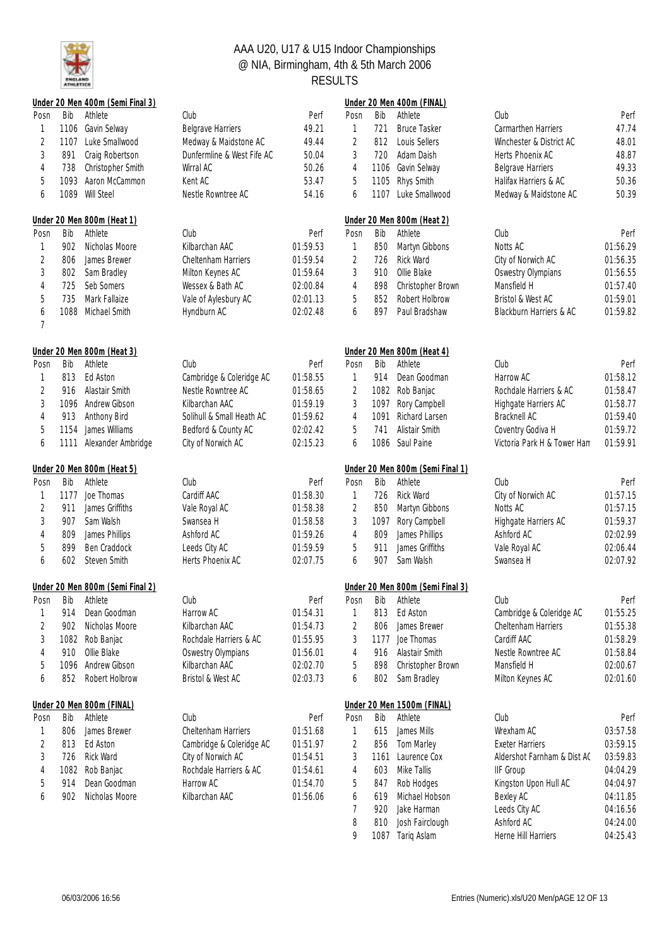

|                |             | Under 20 Men 400m (Semi Final 3) |                                     |                      |                |            | Under 20 Men 400m (FINAL)             |                                 |                      |
|----------------|-------------|----------------------------------|-------------------------------------|----------------------|----------------|------------|---------------------------------------|---------------------------------|----------------------|
| Posn           | Bib         | Athlete                          | Club                                | Perf                 | Posn           | Bib        | Athlete                               | Club                            | Perf                 |
|                | 1106        | Gavin Selway                     | <b>Belgrave Harriers</b>            | 49.21                | $\mathbf{1}$   | 721        | <b>Bruce Tasker</b>                   | Carmarthen Harriers             | 47.74                |
| $\overline{2}$ |             | 1107 Luke Smallwood              | Medway & Maidstone AC               | 49.44                | $\overline{2}$ | 812        | Louis Sellers                         | Winchester & District AC        | 48.01                |
| 3              | 891         | Craig Robertson                  | Dunfermline & West Fife AC          | 50.04                | 3              | 720        | Adam Daish                            | Herts Phoenix AC                | 48.87                |
| 4              | 738         | Christopher Smith                | Wirral AC                           | 50.26                | 4              | 1106       | Gavin Selway                          | <b>Belgrave Harriers</b>        | 49.33                |
| 5              | 1093        | Aaron McCammon                   | Kent AC                             | 53.47                | 5              | 1105       | Rhys Smith                            | Halifax Harriers & AC           | 50.36                |
| 6              |             | 1089 Will Steel                  | Nestle Rowntree AC                  | 54.16                | 6              | 1107       | Luke Smallwood                        | Medway & Maidstone AC           | 50.39                |
|                |             | Under 20 Men 800m (Heat 1)       |                                     |                      |                |            | Under 20 Men 800m (Heat 2)            |                                 |                      |
| Posn           | Bib         | Athlete                          | Club                                | Perf                 | Posn           | Bib        | Athlete                               | Club                            | Perf                 |
|                | 902         | Nicholas Moore                   | Kilbarchan AAC                      | 01:59.53             | 1              | 850        | Martyn Gibbons                        | Notts AC                        | 01:56.29             |
| 2              | 806         | James Brewer                     | <b>Cheltenham Harriers</b>          | 01:59.54             | $\overline{2}$ | 726        | Rick Ward                             | City of Norwich AC              | 01:56.35             |
| 3              | 802         | Sam Bradley                      | Milton Keynes AC                    | 01:59.64             | 3              | 910        | Ollie Blake                           | <b>Oswestry Olympians</b>       | 01:56.55             |
|                |             |                                  |                                     |                      |                |            |                                       |                                 | 01:57.40             |
| 4              | 725         | Seb Somers                       | Wessex & Bath AC                    | 02:00.84             | 4              | 898        | Christopher Brown                     | Mansfield H                     |                      |
| 5              | 735         | Mark Fallaize                    | Vale of Aylesbury AC                | 02:01.13             | 5              | 852        | Robert Holbrow                        | Bristol & West AC               | 01:59.01             |
| 6<br>7         | 1088        | Michael Smith                    | Hyndburn AC                         | 02:02.48             | 6              | 897        | Paul Bradshaw                         | Blackburn Harriers & AC         | 01:59.82             |
|                |             |                                  |                                     |                      |                |            |                                       |                                 |                      |
|                |             | Under 20 Men 800m (Heat 3)       |                                     |                      |                |            | Under 20 Men 800m (Heat 4)            |                                 |                      |
| Posn           | Bib         | Athlete                          | Club                                | Perf                 | Posn           | Bib        | Athlete                               | Club                            | Perf                 |
|                | 813         | Ed Aston                         | Cambridge & Coleridge AC            | 01:58.55             | 1              | 914        | Dean Goodman                          | Harrow AC                       | 01:58.12             |
| 2              | 916         | Alastair Smith                   | Nestle Rowntree AC                  | 01:58.65             | 2              |            | 1082 Rob Banjac                       | Rochdale Harriers & AC          | 01:58.47             |
| 3              | 1096        | Andrew Gibson                    | Kilbarchan AAC                      | 01:59.19             | 3              | 1097       | Rory Campbell                         | Highgate Harriers AC            | 01:58.77             |
| 4              | 913         | Anthony Bird                     | Solihull & Small Heath AC           | 01:59.62             | 4              | 1091       | Richard Larsen                        | Bracknell AC                    | 01:59.40             |
| 5              | 1154        | James Williams                   | Bedford & County AC                 | 02:02.42             | 5              | 741        | Alistair Smith                        | Coventry Godiva H               | 01:59.72             |
| 6              | 1111        | Alexander Ambridge               | City of Norwich AC                  | 02:15.23             | 6              |            | 1086 Saul Paine                       | Victoria Park H & Tower Ham     | 01:59.91             |
|                |             | Under 20 Men 800m (Heat 5)       |                                     |                      |                |            | Under 20 Men 800m (Semi Final 1)      |                                 |                      |
| Posn           | Bib         | Athlete                          | Club                                | Perf                 | Posn           | Bib        | Athlete                               | Club                            | Perf                 |
|                | 1177        | Joe Thomas                       | Cardiff AAC                         | 01:58.30             | 1              | 726        | Rick Ward                             | City of Norwich AC              | 01:57.15             |
| $\overline{c}$ | 911         | James Griffiths                  | Vale Royal AC                       | 01:58.38             | $\sqrt{2}$     | 850        | Martyn Gibbons                        | Notts AC                        | 01:57.15             |
| 3              | 907         | Sam Walsh                        | Swansea H                           | 01:58.58             | 3              | 1097       | Rory Campbell                         | Highgate Harriers AC            | 01:59.37             |
| 4              | 809         | James Phillips                   | Ashford AC                          | 01:59.26             | 4              | 809        | James Phillips                        | Ashford AC                      | 02:02.99             |
| 5              | 899         | Ben Craddock                     | Leeds City AC                       | 01:59.59             | 5              | 911        | James Griffiths                       | Vale Royal AC                   | 02:06.44             |
| 6              | 602         | Steven Smith                     | Herts Phoenix AC                    | 02:07.75             | 6              | 907        | Sam Walsh                             | Swansea H                       | 02:07.92             |
|                |             | Under 20 Men 800m (Semi Final 2) |                                     |                      |                |            | Under 20 Men 800m (Semi Final 3)      |                                 |                      |
|                |             | Posn Bib Athlete                 | Club                                | Perf                 | Posn           |            | Bib Athlete                           | Club                            | Perf                 |
|                | 914         | Dean Goodman                     | Harrow AC                           | 01:54.31             | 1              | 813        | Ed Aston                              | Cambridge & Coleridge AC        | 01:55.25             |
| 2              | 902         | Nicholas Moore                   | Kilbarchan AAC                      | 01:54.73             | 2              | 806        | James Brewer                          | Cheltenham Harriers             | 01:55.38             |
| 3              | 1082        | Rob Banjac                       | Rochdale Harriers & AC              | 01:55.95             | 3              | 1177       | Joe Thomas                            | Cardiff AAC                     | 01:58.29             |
|                | 910         | Ollie Blake                      |                                     | 01:56.01             |                | 916        | Alastair Smith                        | Nestle Rowntree AC              | 01:58.84             |
| 4              |             |                                  | <b>Oswestry Olympians</b>           |                      | 4              |            |                                       |                                 |                      |
| 5<br>6         | 1096<br>852 | Andrew Gibson<br>Robert Holbrow  | Kilbarchan AAC<br>Bristol & West AC | 02:02.70<br>02:03.73 | 5<br>6         | 898<br>802 | Christopher Brown<br>Sam Bradley      | Mansfield H<br>Milton Keynes AC | 02:00.67<br>02:01.60 |
|                |             | Under 20 Men 800m (FINAL)        |                                     |                      |                |            |                                       |                                 |                      |
| Posn           | Bib         | Athlete                          | Club                                | Perf                 | Posn           | Bib        | Under 20 Men 1500m (FINAL)<br>Athlete | Club                            | Perf                 |
|                | 806         | James Brewer                     | <b>Cheltenham Harriers</b>          | 01:51.68             | 1              | 615        | James Mills                           | Wrexham AC                      | 03:57.58             |
|                |             | Ed Aston                         |                                     |                      |                |            |                                       |                                 |                      |
| $\overline{c}$ | 813         |                                  | Cambridge & Coleridge AC            | 01:51.97             | $\sqrt{2}$     | 856        | Tom Marley                            | <b>Exeter Harriers</b>          | 03:59.15             |
| 3              | 726         | <b>Rick Ward</b>                 | City of Norwich AC                  | 01:54.51             | 3              | 1161       | Laurence Cox                          | Aldershot Farnham & Dist AC     | 03:59.83             |
| 4              | 1082        | Rob Banjac                       | Rochdale Harriers & AC              | 01:54.61             | 4              | 603        | Mike Tallis                           | <b>IIF Group</b>                | 04:04.29             |
| 5              | 914         | Dean Goodman                     | Harrow AC                           | 01:54.70             | 5              | 847        | Rob Hodges                            | Kingston Upon Hull AC           | 04:04.97             |
| 6              | 902         | Nicholas Moore                   | Kilbarchan AAC                      | 01:56.06             | 6              | 619        | Michael Hobson                        | Bexley AC                       | 04:11.85             |
|                |             |                                  |                                     |                      | 7              | 920        | Jake Harman                           | Leeds City AC                   | 04:16.56             |
|                |             |                                  |                                     |                      | 8              | 810        | Josh Fairclough                       | Ashford AC                      | 04:24.00             |
|                |             |                                  |                                     |                      | 9              | 1087       | Tariq Aslam                           | Herne Hill Harriers             | 04:25.43             |